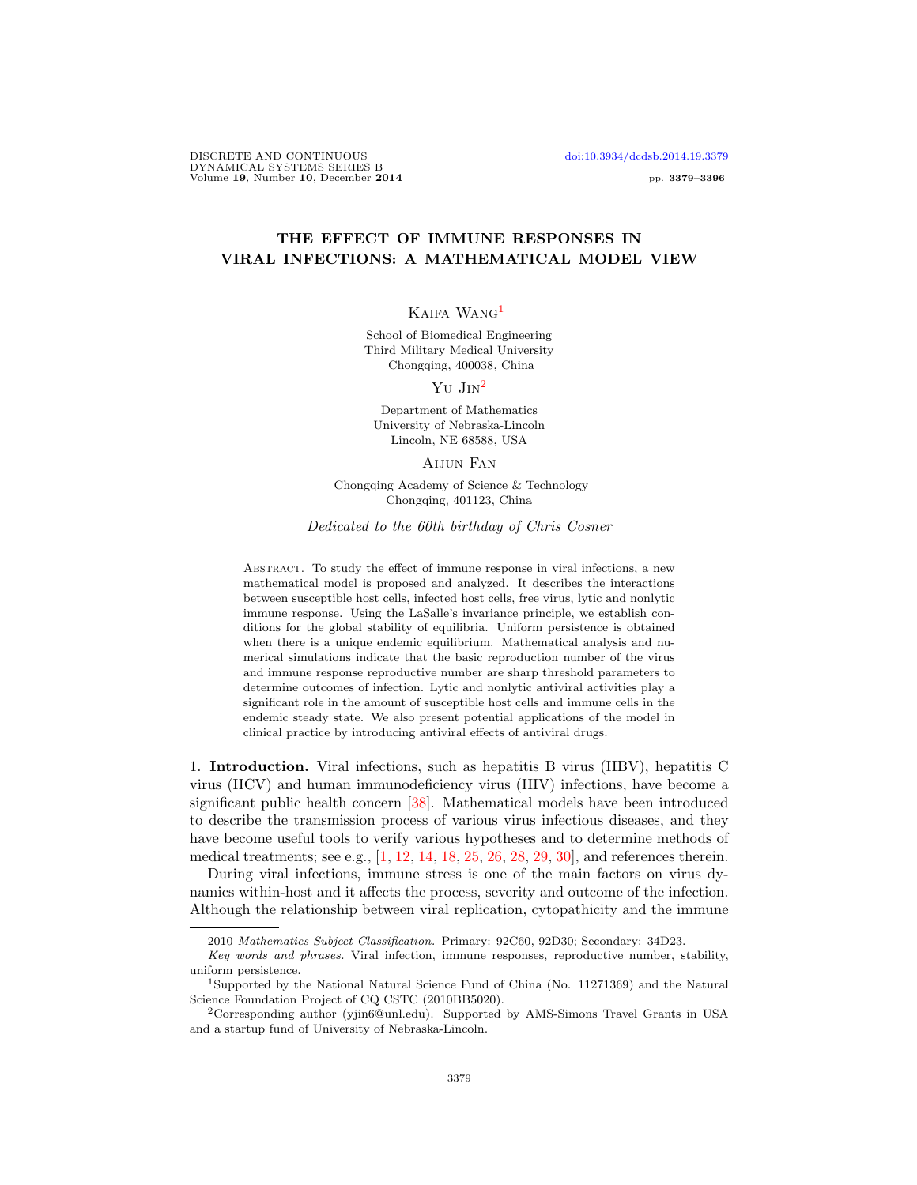## THE EFFECT OF IMMUNE RESPONSES IN VIRAL INFECTIONS: A MATHEMATICAL MODEL VIEW

## Kaifa Wang[1](#page-0-0)

School of Biomedical Engineering Third Military Medical University Chongqing, 400038, China

Yu Jin[2](#page-0-1)

Department of Mathematics University of Nebraska-Lincoln Lincoln, NE 68588, USA

Aijun Fan

Chongqing Academy of Science & Technology Chongqing, 401123, China

Dedicated to the 60th birthday of Chris Cosner

Abstract. To study the effect of immune response in viral infections, a new mathematical model is proposed and analyzed. It describes the interactions between susceptible host cells, infected host cells, free virus, lytic and nonlytic immune response. Using the LaSalle's invariance principle, we establish conditions for the global stability of equilibria. Uniform persistence is obtained when there is a unique endemic equilibrium. Mathematical analysis and numerical simulations indicate that the basic reproduction number of the virus and immune response reproductive number are sharp threshold parameters to determine outcomes of infection. Lytic and nonlytic antiviral activities play a significant role in the amount of susceptible host cells and immune cells in the endemic steady state. We also present potential applications of the model in clinical practice by introducing antiviral effects of antiviral drugs.

1. Introduction. Viral infections, such as hepatitis B virus (HBV), hepatitis C virus (HCV) and human immunodeficiency virus (HIV) infections, have become a significant public health concern [\[38\]](#page-17-0). Mathematical models have been introduced to describe the transmission process of various virus infectious diseases, and they have become useful tools to verify various hypotheses and to determine methods of medical treatments; see e.g.,  $[1, 12, 14, 18, 25, 26, 28, 29, 30]$  $[1, 12, 14, 18, 25, 26, 28, 29, 30]$  $[1, 12, 14, 18, 25, 26, 28, 29, 30]$  $[1, 12, 14, 18, 25, 26, 28, 29, 30]$  $[1, 12, 14, 18, 25, 26, 28, 29, 30]$  $[1, 12, 14, 18, 25, 26, 28, 29, 30]$  $[1, 12, 14, 18, 25, 26, 28, 29, 30]$  $[1, 12, 14, 18, 25, 26, 28, 29, 30]$  $[1, 12, 14, 18, 25, 26, 28, 29, 30]$  $[1, 12, 14, 18, 25, 26, 28, 29, 30]$  $[1, 12, 14, 18, 25, 26, 28, 29, 30]$  $[1, 12, 14, 18, 25, 26, 28, 29, 30]$  $[1, 12, 14, 18, 25, 26, 28, 29, 30]$  $[1, 12, 14, 18, 25, 26, 28, 29, 30]$  $[1, 12, 14, 18, 25, 26, 28, 29, 30]$  $[1, 12, 14, 18, 25, 26, 28, 29, 30]$  $[1, 12, 14, 18, 25, 26, 28, 29, 30]$ , and references therein.

During viral infections, immune stress is one of the main factors on virus dynamics within-host and it affects the process, severity and outcome of the infection. Although the relationship between viral replication, cytopathicity and the immune

<sup>2010</sup> Mathematics Subject Classification. Primary: 92C60, 92D30; Secondary: 34D23.

Key words and phrases. Viral infection, immune responses, reproductive number, stability, uniform persistence.

<span id="page-0-0"></span><sup>1</sup>Supported by the National Natural Science Fund of China (No. 11271369) and the Natural Science Foundation Project of CQ CSTC (2010BB5020).

<span id="page-0-1"></span><sup>2</sup>Corresponding author (yjin6@unl.edu). Supported by AMS-Simons Travel Grants in USA and a startup fund of University of Nebraska-Lincoln.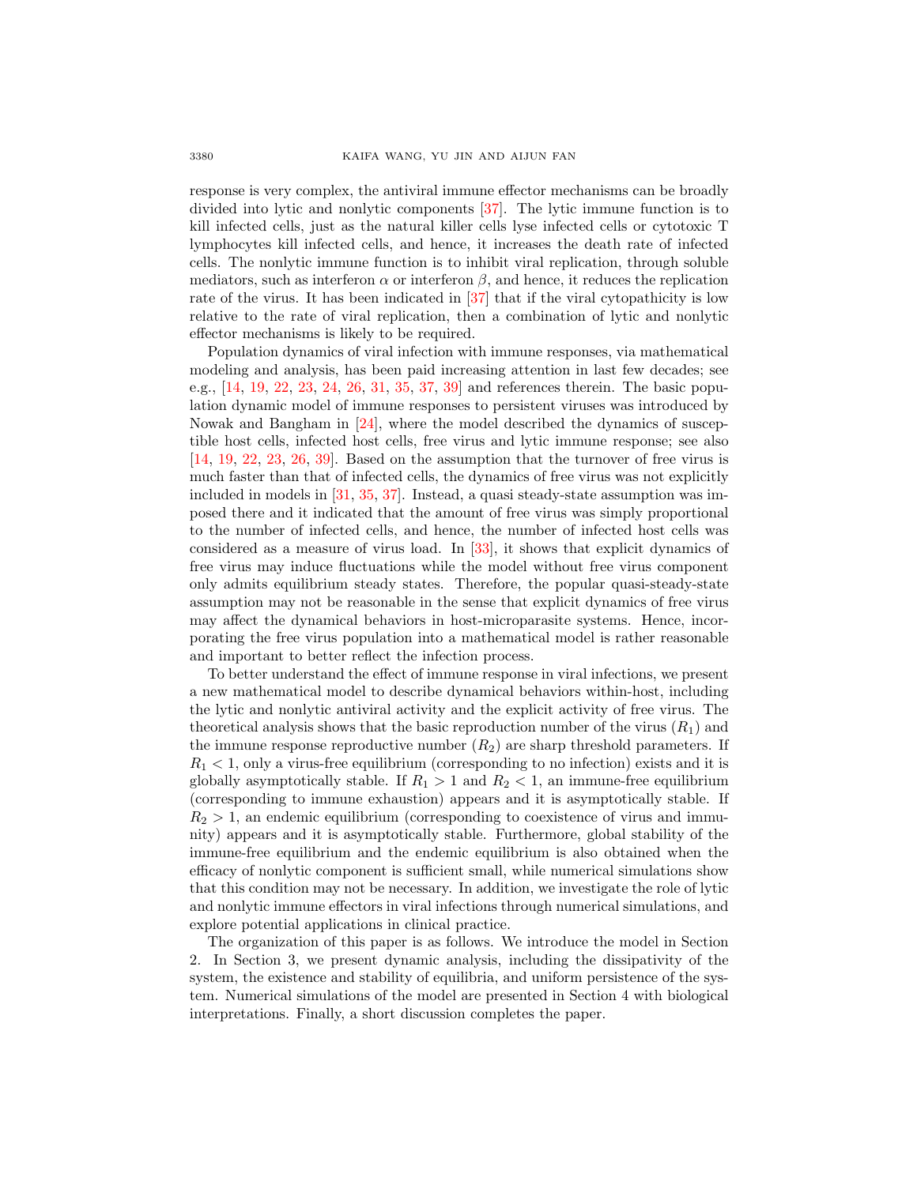response is very complex, the antiviral immune effector mechanisms can be broadly divided into lytic and nonlytic components [\[37\]](#page-17-3). The lytic immune function is to kill infected cells, just as the natural killer cells lyse infected cells or cytotoxic T lymphocytes kill infected cells, and hence, it increases the death rate of infected cells. The nonlytic immune function is to inhibit viral replication, through soluble mediators, such as interferon  $\alpha$  or interferon  $\beta$ , and hence, it reduces the replication rate of the virus. It has been indicated in [\[37\]](#page-17-3) that if the viral cytopathicity is low relative to the rate of viral replication, then a combination of lytic and nonlytic effector mechanisms is likely to be required.

Population dynamics of viral infection with immune responses, via mathematical modeling and analysis, has been paid increasing attention in last few decades; see e.g., [\[14,](#page-16-1) [19,](#page-16-6) [22,](#page-16-7) [23,](#page-16-8) [24,](#page-16-9) [26,](#page-16-4) [31,](#page-17-4) [35,](#page-17-5) [37,](#page-17-3) [39\]](#page-17-6) and references therein. The basic population dynamic model of immune responses to persistent viruses was introduced by Nowak and Bangham in [\[24\]](#page-16-9), where the model described the dynamics of susceptible host cells, infected host cells, free virus and lytic immune response; see also [\[14,](#page-16-1) [19,](#page-16-6) [22,](#page-16-7) [23,](#page-16-8) [26,](#page-16-4) [39\]](#page-17-6). Based on the assumption that the turnover of free virus is much faster than that of infected cells, the dynamics of free virus was not explicitly included in models in [\[31,](#page-17-4) [35,](#page-17-5) [37\]](#page-17-3). Instead, a quasi steady-state assumption was imposed there and it indicated that the amount of free virus was simply proportional to the number of infected cells, and hence, the number of infected host cells was considered as a measure of virus load. In [\[33\]](#page-17-7), it shows that explicit dynamics of free virus may induce fluctuations while the model without free virus component only admits equilibrium steady states. Therefore, the popular quasi-steady-state assumption may not be reasonable in the sense that explicit dynamics of free virus may affect the dynamical behaviors in host-microparasite systems. Hence, incorporating the free virus population into a mathematical model is rather reasonable and important to better reflect the infection process.

To better understand the effect of immune response in viral infections, we present a new mathematical model to describe dynamical behaviors within-host, including the lytic and nonlytic antiviral activity and the explicit activity of free virus. The theoretical analysis shows that the basic reproduction number of the virus  $(R_1)$  and the immune response reproductive number  $(R_2)$  are sharp threshold parameters. If  $R_1 < 1$ , only a virus-free equilibrium (corresponding to no infection) exists and it is globally asymptotically stable. If  $R_1 > 1$  and  $R_2 < 1$ , an immune-free equilibrium (corresponding to immune exhaustion) appears and it is asymptotically stable. If  $R_2 > 1$ , an endemic equilibrium (corresponding to coexistence of virus and immunity) appears and it is asymptotically stable. Furthermore, global stability of the immune-free equilibrium and the endemic equilibrium is also obtained when the efficacy of nonlytic component is sufficient small, while numerical simulations show that this condition may not be necessary. In addition, we investigate the role of lytic and nonlytic immune effectors in viral infections through numerical simulations, and explore potential applications in clinical practice.

The organization of this paper is as follows. We introduce the model in Section 2. In Section 3, we present dynamic analysis, including the dissipativity of the system, the existence and stability of equilibria, and uniform persistence of the system. Numerical simulations of the model are presented in Section 4 with biological interpretations. Finally, a short discussion completes the paper.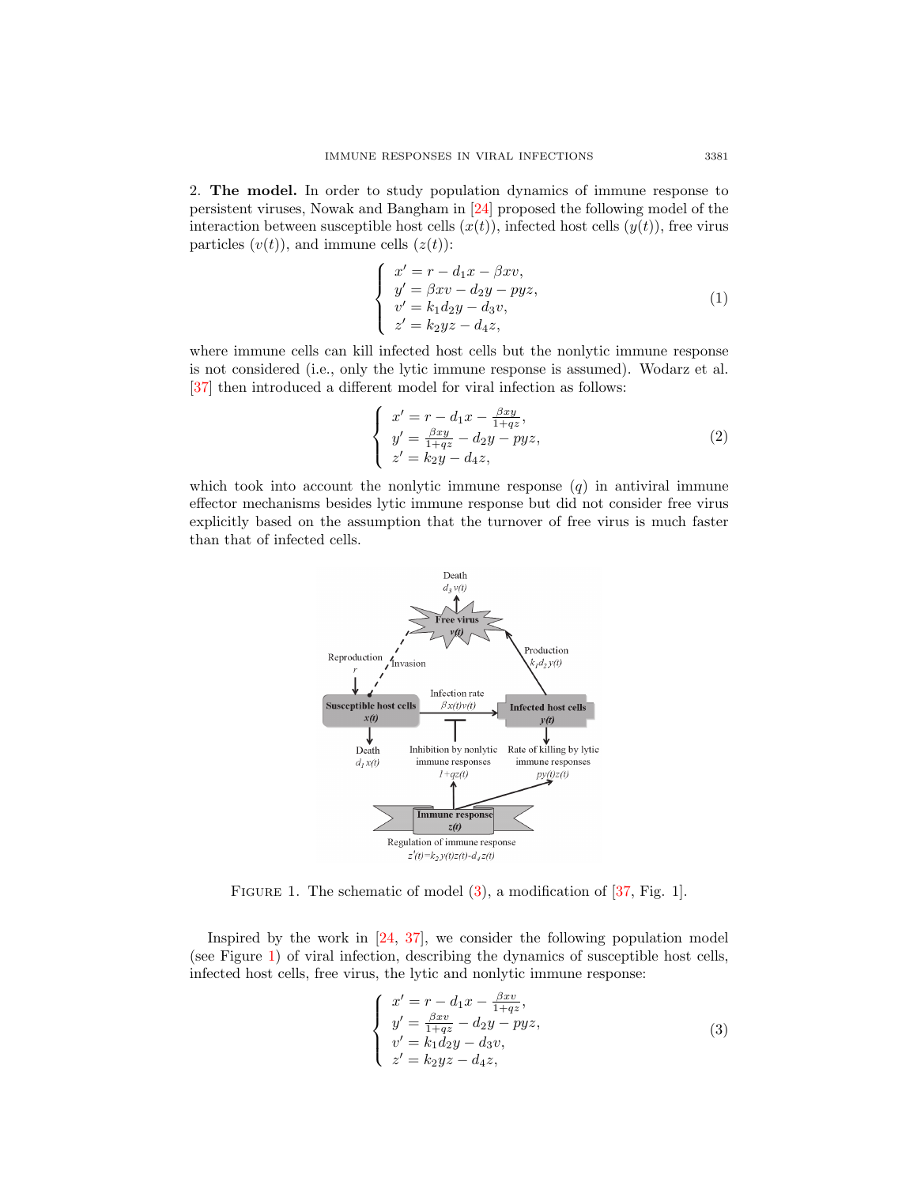2. The model. In order to study population dynamics of immune response to persistent viruses, Nowak and Bangham in [\[24\]](#page-16-9) proposed the following model of the interaction between susceptible host cells  $(x(t))$ , infected host cells  $(y(t))$ , free virus particles  $(v(t))$ , and immune cells  $(z(t))$ :

$$
\begin{cases}\nx' = r - d_1x - \beta xv, \ny' = \beta xv - d_2y - pyz, \nv' = k_1d_2y - d_3v, \nz' = k_2yz - d_4z,\n\end{cases}
$$
\n(1)

where immune cells can kill infected host cells but the nonlytic immune response is not considered (i.e., only the lytic immune response is assumed). Wodarz et al. [\[37\]](#page-17-3) then introduced a different model for viral infection as follows:

$$
\begin{cases}\nx' = r - d_1 x - \frac{\beta x y}{1 + q z}, \ny' = \frac{\beta x y}{1 + q z} - d_2 y - p y z, \nz' = k_2 y - d_4 z,\n\end{cases}
$$
\n(2)

which took into account the nonlytic immune response  $(q)$  in antiviral immune effector mechanisms besides lytic immune response but did not consider free virus explicitly based on the assumption that the turnover of free virus is much faster than that of infected cells.



<span id="page-2-1"></span>FIGURE 1. The schematic of model [\(3\)](#page-2-0), a modification of [\[37,](#page-17-3) Fig. 1].

Inspired by the work in [\[24,](#page-16-9) [37\]](#page-17-3), we consider the following population model (see Figure [1\)](#page-2-1) of viral infection, describing the dynamics of susceptible host cells, infected host cells, free virus, the lytic and nonlytic immune response:

<span id="page-2-0"></span>
$$
\begin{cases}\nx' = r - d_1 x - \frac{\beta x v}{1 + q z}, \ny' = \frac{\beta x v}{1 + q z} - d_2 y - p y z, \nv' = k_1 d_2 y - d_3 v, \nz' = k_2 y z - d_4 z,\n\end{cases}
$$
\n(3)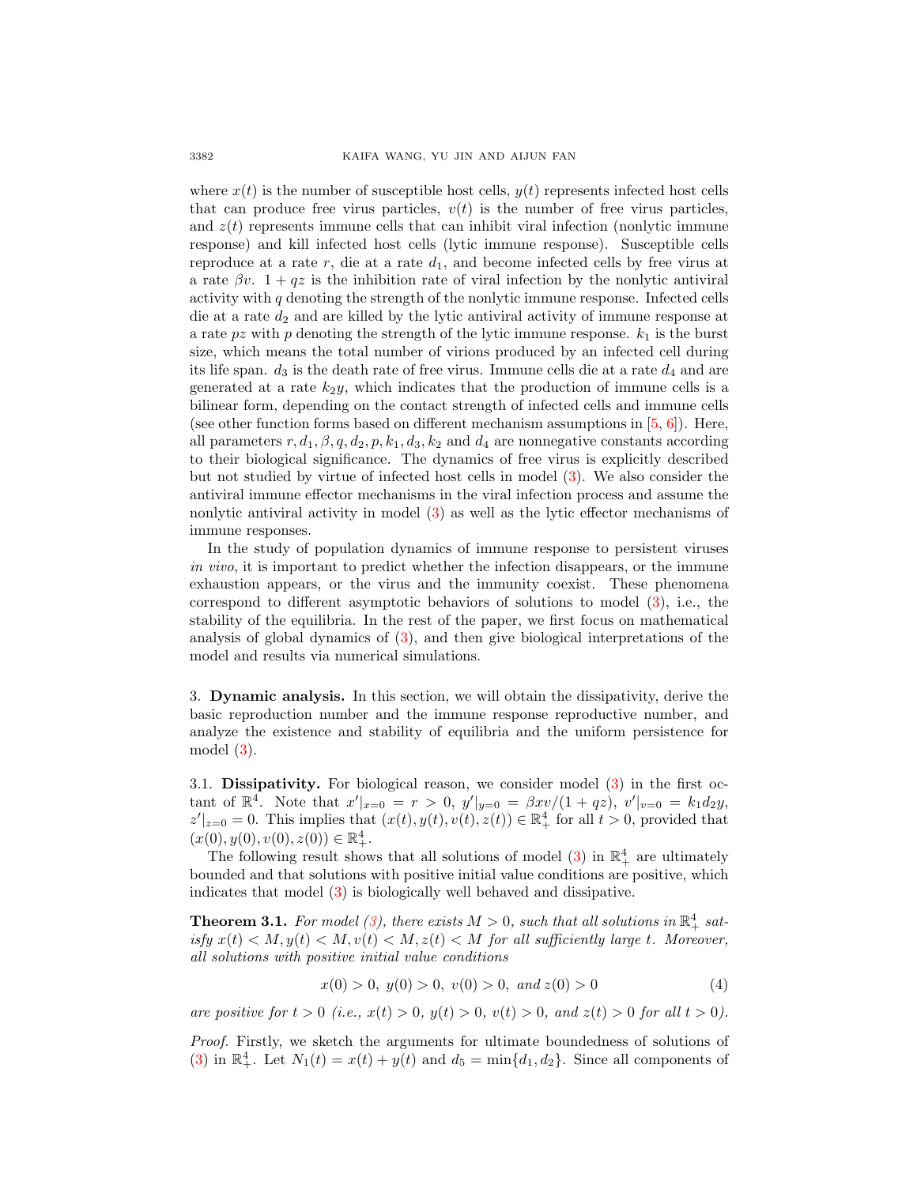where  $x(t)$  is the number of susceptible host cells,  $y(t)$  represents infected host cells that can produce free virus particles,  $v(t)$  is the number of free virus particles, and  $z(t)$  represents immune cells that can inhibit viral infection (nonlytic immune response) and kill infected host cells (lytic immune response). Susceptible cells reproduce at a rate  $r$ , die at a rate  $d_1$ , and become infected cells by free virus at a rate  $\beta v$ . 1 + qz is the inhibition rate of viral infection by the nonlytic antiviral activity with  $q$  denoting the strength of the nonlytic immune response. Infected cells die at a rate  $d_2$  and are killed by the lytic antiviral activity of immune response at a rate pz with p denoting the strength of the lytic immune response.  $k_1$  is the burst size, which means the total number of virions produced by an infected cell during its life span.  $d_3$  is the death rate of free virus. Immune cells die at a rate  $d_4$  and are generated at a rate  $k_2y$ , which indicates that the production of immune cells is a bilinear form, depending on the contact strength of infected cells and immune cells (see other function forms based on different mechanism assumptions in  $[5, 6]$  $[5, 6]$  $[5, 6]$ ). Here, all parameters  $r, d_1, \beta, q, d_2, p, k_1, d_3, k_2$  and  $d_4$  are nonnegative constants according to their biological significance. The dynamics of free virus is explicitly described but not studied by virtue of infected host cells in model [\(3\)](#page-2-0). We also consider the antiviral immune effector mechanisms in the viral infection process and assume the nonlytic antiviral activity in model [\(3\)](#page-2-0) as well as the lytic effector mechanisms of immune responses.

In the study of population dynamics of immune response to persistent viruses in vivo, it is important to predict whether the infection disappears, or the immune exhaustion appears, or the virus and the immunity coexist. These phenomena correspond to different asymptotic behaviors of solutions to model [\(3\)](#page-2-0), i.e., the stability of the equilibria. In the rest of the paper, we first focus on mathematical analysis of global dynamics of [\(3\)](#page-2-0), and then give biological interpretations of the model and results via numerical simulations.

3. Dynamic analysis. In this section, we will obtain the dissipativity, derive the basic reproduction number and the immune response reproductive number, and analyze the existence and stability of equilibria and the uniform persistence for model [\(3\)](#page-2-0).

3.1. Dissipativity. For biological reason, we consider model [\(3\)](#page-2-0) in the first octant of  $\mathbb{R}^4$ . Note that  $x'|_{x=0} = r > 0$ ,  $y'|_{y=0} = \beta x v/(1+qz)$ ,  $v'|_{v=0} = k_1 d_2 y$ ,  $|z'|_{z=0} = 0$ . This implies that  $(x(t), y(t), v(t), z(t)) \in \mathbb{R}^4_+$  for all  $t > 0$ , provided that  $(x(0), y(0), v(0), z(0)) \in \mathbb{R}^4_+.$ 

The following result shows that all solutions of model [\(3\)](#page-2-0) in  $\mathbb{R}^4_+$  are ultimately bounded and that solutions with positive initial value conditions are positive, which indicates that model [\(3\)](#page-2-0) is biologically well behaved and dissipative.

<span id="page-3-1"></span>**Theorem 3.1.** For model [\(3\)](#page-2-0), there exists  $M > 0$ , such that all solutions in  $\mathbb{R}^4_+$  satisfy  $x(t) < M$ ,  $y(t) < M$ ,  $v(t) < M$ ,  $z(t) < M$  for all sufficiently large t. Moreover, all solutions with positive initial value conditions

<span id="page-3-0"></span>
$$
x(0) > 0, y(0) > 0, v(0) > 0, and z(0) > 0
$$
\n
$$
(4)
$$

are positive for  $t > 0$  (i.e.,  $x(t) > 0$ ,  $y(t) > 0$ ,  $v(t) > 0$ , and  $z(t) > 0$  for all  $t > 0$ ).

Proof. Firstly, we sketch the arguments for ultimate boundedness of solutions of [\(3\)](#page-2-0) in  $\mathbb{R}^4_+$ . Let  $N_1(t) = x(t) + y(t)$  and  $d_5 = \min\{d_1, d_2\}$ . Since all components of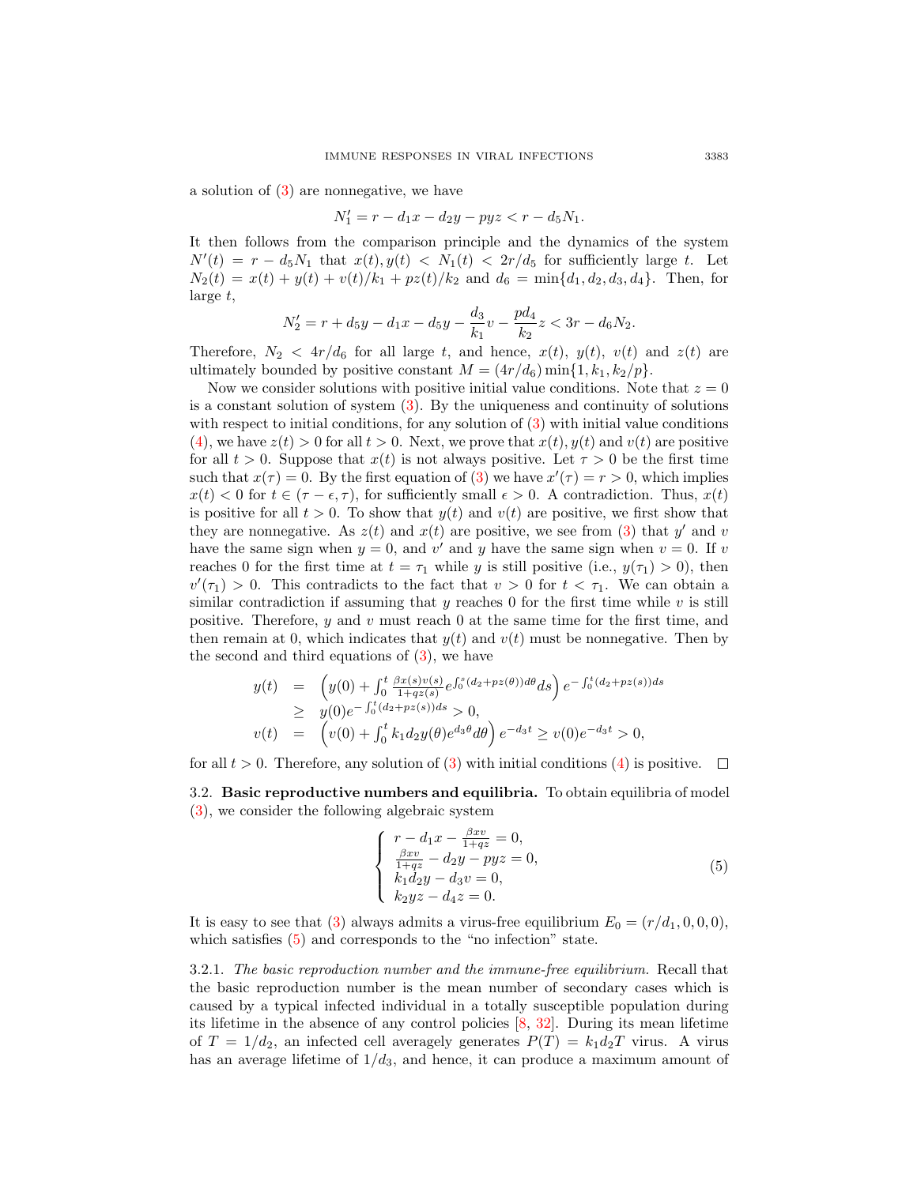a solution of [\(3\)](#page-2-0) are nonnegative, we have

$$
N_1' = r - d_1 x - d_2 y - pyz < r - d_5 N_1.
$$

It then follows from the comparison principle and the dynamics of the system  $N'(t) = r - d_5 N_1$  that  $x(t), y(t) < N_1(t) < 2r/d_5$  for sufficiently large t. Let  $N_2(t) = x(t) + y(t) + v(t)/k_1 + pz(t)/k_2$  and  $d_6 = \min\{d_1, d_2, d_3, d_4\}$ . Then, for large t,

$$
N_2' = r + d_5y - d_1x - d_5y - \frac{d_3}{k_1}v - \frac{pd_4}{k_2}z < 3r - d_6N_2.
$$

Therefore,  $N_2 < 4r/d_6$  for all large t, and hence,  $x(t)$ ,  $y(t)$ ,  $v(t)$  and  $z(t)$  are ultimately bounded by positive constant  $M = (4r/d_6) \min\{1, k_1, k_2/p\}.$ 

Now we consider solutions with positive initial value conditions. Note that  $z = 0$ is a constant solution of system [\(3\)](#page-2-0). By the uniqueness and continuity of solutions with respect to initial conditions, for any solution of  $(3)$  with initial value conditions [\(4\)](#page-3-0), we have  $z(t) > 0$  for all  $t > 0$ . Next, we prove that  $x(t)$ ,  $y(t)$  and  $v(t)$  are positive for all  $t > 0$ . Suppose that  $x(t)$  is not always positive. Let  $\tau > 0$  be the first time such that  $x(\tau) = 0$ . By the first equation of [\(3\)](#page-2-0) we have  $x'(\tau) = r > 0$ , which implies  $x(t) < 0$  for  $t \in (\tau - \epsilon, \tau)$ , for sufficiently small  $\epsilon > 0$ . A contradiction. Thus,  $x(t)$ is positive for all  $t > 0$ . To show that  $y(t)$  and  $v(t)$  are positive, we first show that they are nonnegative. As  $z(t)$  and  $x(t)$  are positive, we see from [\(3\)](#page-2-0) that y' and v have the same sign when  $y = 0$ , and v' and y have the same sign when  $v = 0$ . If v reaches 0 for the first time at  $t = \tau_1$  while y is still positive (i.e.,  $y(\tau_1) > 0$ ), then  $v'(\tau_1) > 0$ . This contradicts to the fact that  $v > 0$  for  $t < \tau_1$ . We can obtain a similar contradiction if assuming that  $\gamma$  reaches 0 for the first time while  $\gamma$  is still positive. Therefore,  $y$  and  $v$  must reach 0 at the same time for the first time, and then remain at 0, which indicates that  $y(t)$  and  $v(t)$  must be nonnegative. Then by the second and third equations of [\(3\)](#page-2-0), we have

$$
y(t) = \left(y(0) + \int_0^t \frac{\beta x(s)v(s)}{1 + qz(s)} e^{\int_0^s (d_2 + pz(\theta)) d\theta} ds\right) e^{-\int_0^t (d_2 + pz(s)) ds}
$$
  
\n
$$
\geq y(0) e^{-\int_0^t (d_2 + pz(s)) ds} > 0,
$$
  
\n
$$
v(t) = \left(v(0) + \int_0^t k_1 d_2 y(\theta) e^{d_3 \theta} d\theta\right) e^{-d_3 t} \geq v(0) e^{-d_3 t} > 0,
$$

for all  $t > 0$ . Therefore, any solution of [\(3\)](#page-2-0) with initial conditions [\(4\)](#page-3-0) is positive.  $\Box$ 

3.2. Basic reproductive numbers and equilibria. To obtain equilibria of model [\(3\)](#page-2-0), we consider the following algebraic system

<span id="page-4-0"></span>
$$
\begin{cases}\n r - d_1 x - \frac{\beta x v}{1 + q z} = 0, \\
 \frac{\beta x v}{1 + q z} - d_2 y - p y z = 0, \\
 k_1 d_2 y - d_3 v = 0, \\
 k_2 y z - d_4 z = 0.\n\end{cases}
$$
\n(5)

It is easy to see that [\(3\)](#page-2-0) always admits a virus-free equilibrium  $E_0 = (r/d_1, 0, 0, 0)$ , which satisfies  $(5)$  and corresponds to the "no infection" state.

3.2.1. The basic reproduction number and the immune-free equilibrium. Recall that the basic reproduction number is the mean number of secondary cases which is caused by a typical infected individual in a totally susceptible population during its lifetime in the absence of any control policies [\[8,](#page-16-12) [32\]](#page-17-8). During its mean lifetime of  $T = 1/d_2$ , an infected cell averagely generates  $P(T) = k_1 d_2 T$  virus. A virus has an average lifetime of  $1/d_3$ , and hence, it can produce a maximum amount of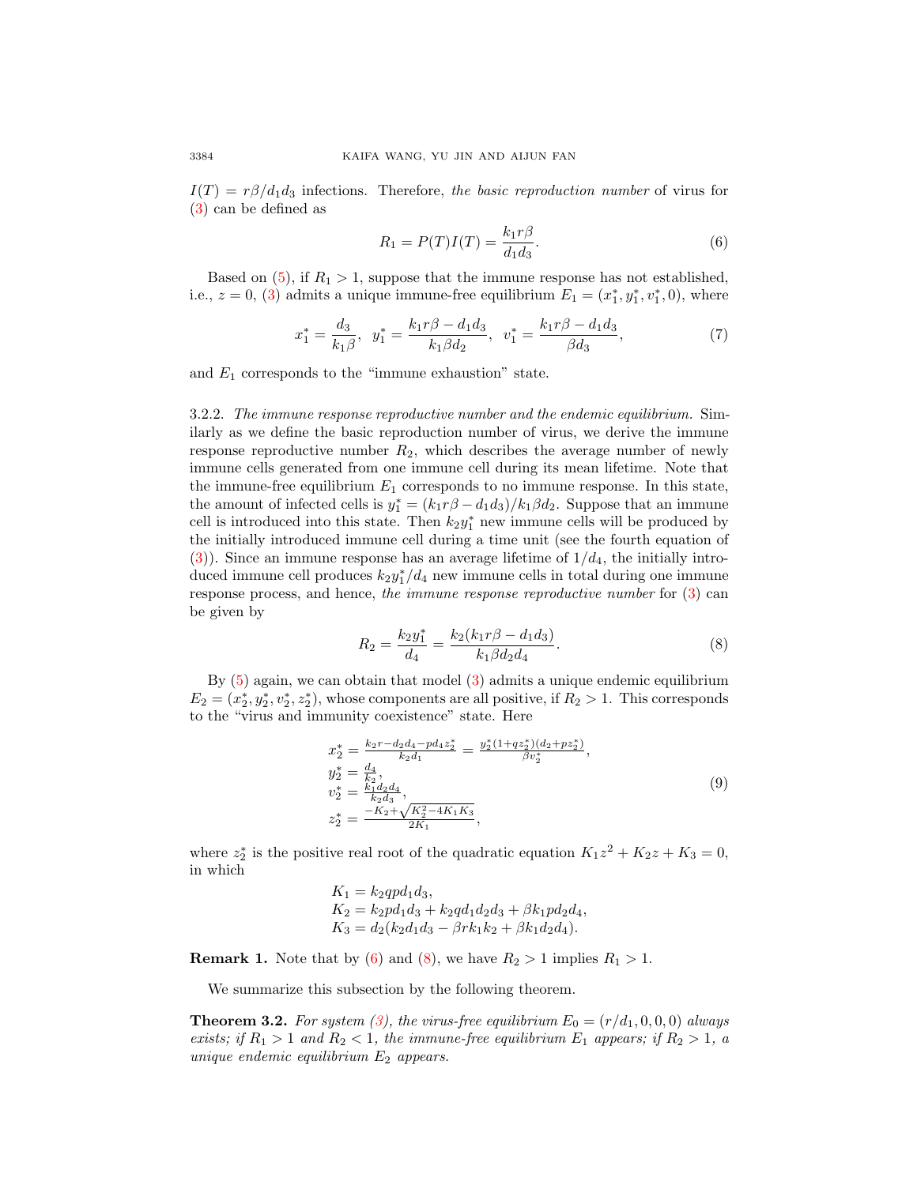$I(T) = r\beta/d_1d_3$  infections. Therefore, the basic reproduction number of virus for [\(3\)](#page-2-0) can be defined as

<span id="page-5-0"></span>
$$
R_1 = P(T)I(T) = \frac{k_1 r \beta}{d_1 d_3}.\tag{6}
$$

Based on  $(5)$ , if  $R_1 > 1$ , suppose that the immune response has not established, i.e.,  $z = 0$ , [\(3\)](#page-2-0) admits a unique immune-free equilibrium  $E_1 = (x_1^*, y_1^*, v_1^*, 0)$ , where

<span id="page-5-2"></span>
$$
x_1^* = \frac{d_3}{k_1 \beta}, \ \ y_1^* = \frac{k_1 r \beta - d_1 d_3}{k_1 \beta d_2}, \ \ v_1^* = \frac{k_1 r \beta - d_1 d_3}{\beta d_3},\tag{7}
$$

and  $E_1$  corresponds to the "immune exhaustion" state.

3.2.2. The immune response reproductive number and the endemic equilibrium. Similarly as we define the basic reproduction number of virus, we derive the immune response reproductive number  $R_2$ , which describes the average number of newly immune cells generated from one immune cell during its mean lifetime. Note that the immune-free equilibrium  $E_1$  corresponds to no immune response. In this state, the amount of infected cells is  $y_1^* = (k_1 r \beta - d_1 d_3)/k_1 \beta d_2$ . Suppose that an immune cell is introduced into this state. Then  $k_2y_1^*$  new immune cells will be produced by the initially introduced immune cell during a time unit (see the fourth equation of [\(3\)](#page-2-0)). Since an immune response has an average lifetime of  $1/d_4$ , the initially introduced immune cell produces  $k_2 y_1^*/d_4$  new immune cells in total during one immune response process, and hence, the immune response reproductive number for [\(3\)](#page-2-0) can be given by

<span id="page-5-1"></span>
$$
R_2 = \frac{k_2 y_1^*}{d_4} = \frac{k_2 (k_1 r \beta - d_1 d_3)}{k_1 \beta d_2 d_4}.
$$
 (8)

By [\(5\)](#page-4-0) again, we can obtain that model [\(3\)](#page-2-0) admits a unique endemic equilibrium  $E_2 = (x_2^*, y_2^*, z_2^*)$ , whose components are all positive, if  $R_2 > 1$ . This corresponds to the "virus and immunity coexistence" state. Here

<span id="page-5-3"></span>
$$
x_2^* = \frac{k_2r - d_2d_4 - pd_4z_2^*}{k_2d_1} = \frac{y_2^*(1+qz_2^*)(d_2+pz_2^*)}{\beta v_2^*},
$$
  
\n
$$
y_2^* = \frac{d_4}{k_2d_3},
$$
  
\n
$$
z_2^* = \frac{-K_2 + \sqrt{K_2^2 - 4K_1K_3}}{2K_1},
$$
  
\n(9)

where  $z_2^*$  is the positive real root of the quadratic equation  $K_1z^2 + K_2z + K_3 = 0$ , in which

$$
K_1 = k_2 q p d_1 d_3,
$$
  
\n
$$
K_2 = k_2 p d_1 d_3 + k_2 q d_1 d_2 d_3 + \beta k_1 p d_2 d_4,
$$
  
\n
$$
K_3 = d_2 (k_2 d_1 d_3 - \beta r k_1 k_2 + \beta k_1 d_2 d_4).
$$

**Remark 1.** Note that by [\(6\)](#page-5-0) and [\(8\)](#page-5-1), we have  $R_2 > 1$  implies  $R_1 > 1$ .

We summarize this subsection by the following theorem.

**Theorem 3.2.** For system [\(3\)](#page-2-0), the virus-free equilibrium  $E_0 = (r/d_1, 0, 0, 0)$  always exists; if  $R_1 > 1$  and  $R_2 < 1$ , the immune-free equilibrium  $E_1$  appears; if  $R_2 > 1$ , a unique endemic equilibrium  $E_2$  appears.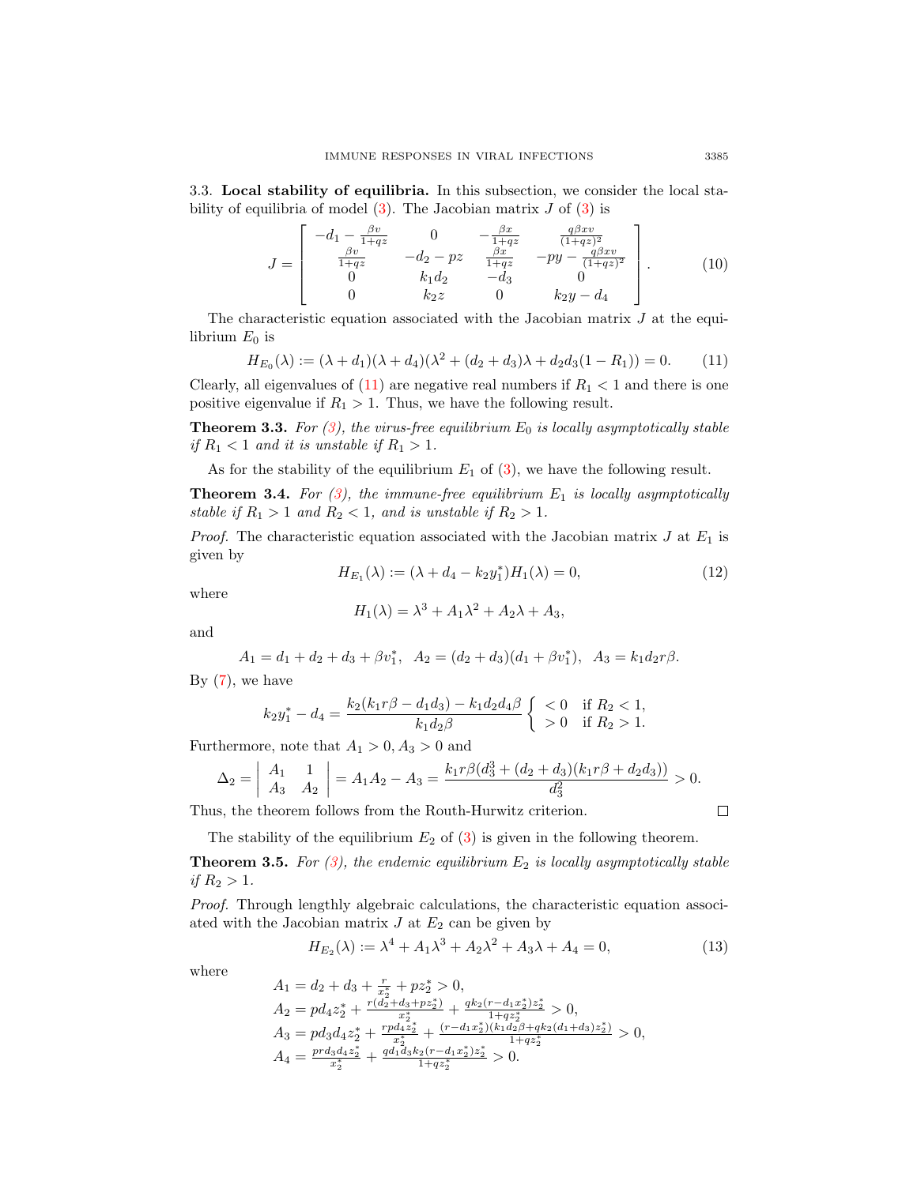3.3. Local stability of equilibria. In this subsection, we consider the local stability of equilibria of model  $(3)$ . The Jacobian matrix J of  $(3)$  is

$$
J = \begin{bmatrix} -d_1 - \frac{\beta v}{1+qz} & 0 & -\frac{\beta x}{1+qz} & \frac{q\beta xv}{(1+qz)^2} \\ \frac{\beta v}{1+qz} & -d_2 - pz & \frac{\beta x}{1+qz} & -py - \frac{q\beta xv}{(1+qz)^2} \\ 0 & k_1d_2 & -d_3 & 0 \\ 0 & k_2z & 0 & k_2y - d_4 \end{bmatrix} .
$$
 (10)

The characteristic equation associated with the Jacobian matrix  $J$  at the equilibrium  $E_0$  is

<span id="page-6-0"></span>
$$
H_{E_0}(\lambda) := (\lambda + d_1)(\lambda + d_4)(\lambda^2 + (d_2 + d_3)\lambda + d_2d_3(1 - R_1)) = 0.
$$
 (11)

Clearly, all eigenvalues of  $(11)$  are negative real numbers if  $R_1 < 1$  and there is one positive eigenvalue if  $R_1 > 1$ . Thus, we have the following result.

<span id="page-6-2"></span>**Theorem 3.3.** For [\(3\)](#page-2-0), the virus-free equilibrium  $E_0$  is locally asymptotically stable if  $R_1 < 1$  and it is unstable if  $R_1 > 1$ .

As for the stability of the equilibrium  $E_1$  of [\(3\)](#page-2-0), we have the following result.

<span id="page-6-3"></span>**Theorem 3.4.** For  $(3)$ , the immune-free equilibrium  $E_1$  is locally asymptotically stable if  $R_1 > 1$  and  $R_2 < 1$ , and is unstable if  $R_2 > 1$ .

*Proof.* The characteristic equation associated with the Jacobian matrix  $J$  at  $E_1$  is given by

$$
H_{E_1}(\lambda) := (\lambda + d_4 - k_2 y_1^*) H_1(\lambda) = 0,
$$
\n(12)

where

$$
H_1(\lambda) = \lambda^3 + A_1 \lambda^2 + A_2 \lambda + A_3,
$$

and

$$
A_1 = d_1 + d_2 + d_3 + \beta v_1^*, \ \ A_2 = (d_2 + d_3)(d_1 + \beta v_1^*), \ \ A_3 = k_1 d_2 r \beta.
$$

By  $(7)$ , we have

$$
k_2y_1^* - d_4 = \frac{k_2(k_1r\beta - d_1d_3) - k_1d_2d_4\beta}{k_1d_2\beta} \begin{cases} < 0 & \text{if } R_2 < 1, \\ > 0 & \text{if } R_2 > 1. \end{cases}
$$

Furthermore, note that  $A_1 > 0, A_3 > 0$  and

$$
\Delta_2 = \begin{vmatrix} A_1 & 1 \\ A_3 & A_2 \end{vmatrix} = A_1 A_2 - A_3 = \frac{k_1 r \beta (d_3^3 + (d_2 + d_3)(k_1 r \beta + d_2 d_3))}{d_3^2} > 0.
$$

Thus, the theorem follows from the Routh-Hurwitz criterion.

The stability of the equilibrium  $E_2$  of [\(3\)](#page-2-0) is given in the following theorem.

<span id="page-6-4"></span>**Theorem 3.5.** For  $(3)$ , the endemic equilibrium  $E_2$  is locally asymptotically stable if  $R_2 > 1$ .

Proof. Through lengthly algebraic calculations, the characteristic equation associated with the Jacobian matrix  $J$  at  $E_2$  can be given by

<span id="page-6-1"></span>
$$
H_{E_2}(\lambda) := \lambda^4 + A_1 \lambda^3 + A_2 \lambda^2 + A_3 \lambda + A_4 = 0,
$$
\n(13)

where

$$
\begin{array}{l} A_1=d_2+d_3+\frac{r_*}{x_2^*}+pz_2^* > 0,\\ A_2=pd_4z_2^*+\frac{r(d_2+d_3+pz_2^*)}{x_2^*}+\frac{qk_2(r-d_1x_2^*)z_2^*}{1+qz_2^*}>0,\\ A_3=pd_3d_4z_2^*+\frac{rpd_4z_2^*}{x_2^*}+\frac{(r-d_1x_2^*)(k_1d_2\beta+qk_2(d_1+d_3)z_2^*)}{1+qz_2^*}>0,\\ A_4=\frac{prd_3d_4z_2^*}{x_2^*}+\frac{qd_1d_3k_2(r-d_1x_2^*)z_2^*}{1+qz_2^*}>0.\end{array}
$$

 $\Box$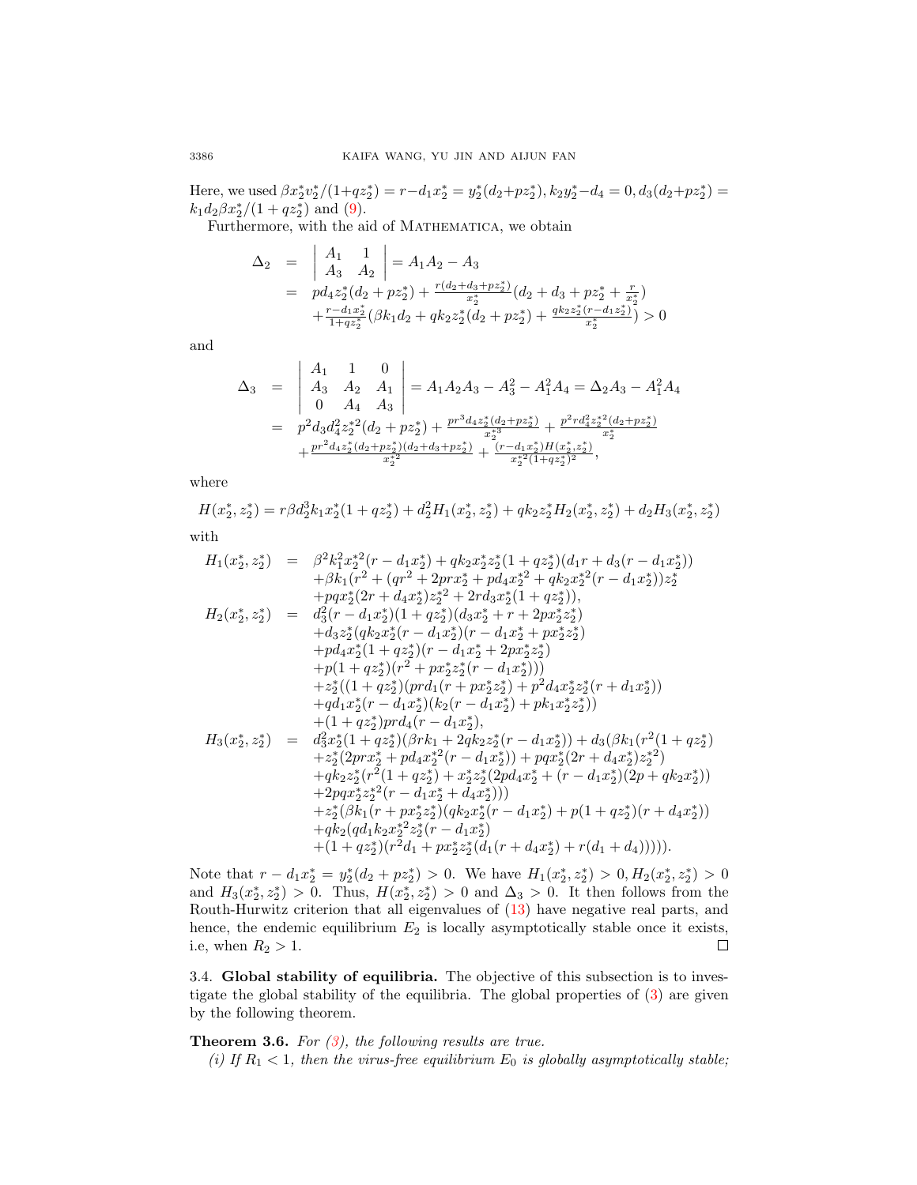Here, we used  $\beta x_2^* y_2^* / (1+qz_2^*) = r - d_1 x_2^* = y_2^* (d_2+pz_2^*), k_2 y_2^* - d_4 = 0, d_3 (d_2+pz_2^*) =$  $k_1 d_2 \beta x_2^*/(1+qz_2^*)$  and [\(9\)](#page-5-3).

Furthermore, with the aid of MATHEMATICA, we obtain  $\overline{1}$ 

$$
\begin{array}{rcl}\n\Delta_2 &=& \left| \begin{array}{cc} A_1 & 1 \\ A_3 & A_2 \end{array} \right| = A_1 A_2 - A_3 \\
&=& pd_4 z_2^*(d_2 + p z_2^*) + \frac{r(d_2 + d_3 + p z_2^*)}{x_2^*} (d_2 + d_3 + p z_2^* + \frac{r}{x_2^*}) \\
&+ \frac{r - d_1 x_2^*}{1 + q z_2^*} (\beta k_1 d_2 + q k_2 z_2^*(d_2 + p z_2^*) + \frac{q k_2 z_2^*(r - d_1 z_2^*)}{x_2^*}) > 0\n\end{array}
$$

and

$$
\Delta_3 = \begin{vmatrix} A_1 & 1 & 0 \\ A_3 & A_2 & A_1 \\ 0 & A_4 & A_3 \end{vmatrix} = A_1 A_2 A_3 - A_3^2 - A_1^2 A_4 = \Delta_2 A_3 - A_1^2 A_4
$$
  
=  $p^2 d_3 d_4^2 z_2^* (d_2 + pz_2^*) + \frac{pr^3 d_4 z_2^* (d_2 + pz_2^*)}{x_2^{*3}} + \frac{p^2 r d_4^2 z_2^* (d_2 + pz_2^*)}{x_2^{*3}} + \frac{pr^2 d_4 z_2^* (d_2 + pz_2^*)}{x_2^{*2}} + \frac{(r - d_1 x_2^*) H (x_2^*, z_2^*)}{x_2^{*2} (1 + q z_2^*)^2},$ 

where

$$
H(x_2^*, z_2^*) = r\beta d_2^3 k_1 x_2^* (1 + q z_2^*) + d_2^2 H_1(x_2^*, z_2^*) + q k_2 z_2^* H_2(x_2^*, z_2^*) + d_2 H_3(x_2^*, z_2^*)
$$

with

$$
H_{1}(x_{2}^{*},z_{2}^{*}) = \beta^{2}k_{1}^{2}x_{2}^{*2}(r-d_{1}x_{2}^{*})+qk_{2}x_{2}^{*}z_{2}^{*}(1+qz_{2}^{*})(d_{1}r+d_{3}(r-d_{1}x_{2}^{*})) + \beta k_{1}(r^{2}+(qr^{2}+2prx_{2}^{*}+pd_{4}x_{2}^{*2}+qk_{2}x_{2}^{*2}(r-d_{1}x_{2}^{*}))z_{2}^{*} +pqx_{2}^{*}(2r+d_{4}x_{2}^{*})z_{2}^{*2}+2rd_{3}x_{2}^{*}(1+qz_{2}^{*})) ,
$$
  

$$
H_{2}(x_{2}^{*},z_{2}^{*}) = d_{3}^{2}(r-d_{1}x_{2}^{*})(1+qz_{2}^{*})(d_{3}x_{2}^{*}+r+2px_{2}^{*}z_{2}^{*}) +d_{3}z_{2}^{*}(qk_{2}x_{2}^{*}(r-d_{1}x_{2}^{*})(r-d_{1}x_{2}^{*}+px_{2}^{*}z_{2}^{*}) +pd_{4}x_{2}^{*}(1+qz_{2}^{*})(r-d_{1}x_{2}^{*}+2px_{2}^{*}z_{2}^{*}) + p(1+qz_{2}^{*})(prd_{1}(r+px_{2}^{*}z_{2}^{*})+p^{2}d_{4}x_{2}^{*}z_{2}^{*}(r+d_{1}x_{2}^{*})) +z_{2}^{*}((1+qz_{2}^{*})(prd_{1}(r+px_{2}^{*}z_{2}^{*})+p^{2}d_{4}x_{2}^{*}z_{2}^{*}(r+d_{1}x_{2}^{*})) +q(d_{1}x_{2}^{*}(r-d_{1}x_{2}^{*})(k_{2}(r-d_{1}x_{2}^{*}))+pk_{1}x_{2}^{*}z_{2}^{*}(r+d_{1}x_{2}^{*})) + (1+qz_{2}^{*})prd_{4}(r-d_{1}x_{2}^{*}),
$$
  

$$
H_{3}(x_{2}^{*},z_{2}^{*}) = d_{3}^{2}x_{2}^{*}(1+qz_{2}^{*})(\beta rk_{1}+2qk_{2}z_{2
$$

Note that  $r - d_1 x_2^* = y_2^*(d_2 + pz_2^*) > 0$ . We have  $H_1(x_2^*, z_2^*) > 0, H_2(x_2^*, z_2^*) > 0$ and  $H_3(x_2^*, z_2^*) > 0$ . Thus,  $H(x_2^*, z_2^*) > 0$  and  $\Delta_3 > 0$ . It then follows from the Routh-Hurwitz criterion that all eigenvalues of [\(13\)](#page-6-1) have negative real parts, and hence, the endemic equilibrium  $E_2$  is locally asymptotically stable once it exists, i.e, when  $R_2 > 1$ . i.e, when  $R_2 > 1$ .

3.4. Global stability of equilibria. The objective of this subsection is to investigate the global stability of the equilibria. The global properties of [\(3\)](#page-2-0) are given by the following theorem.

## <span id="page-7-0"></span>**Theorem 3.6.** For  $(3)$ , the following results are true.

(i) If  $R_1$  < 1, then the virus-free equilibrium  $E_0$  is globally asymptotically stable;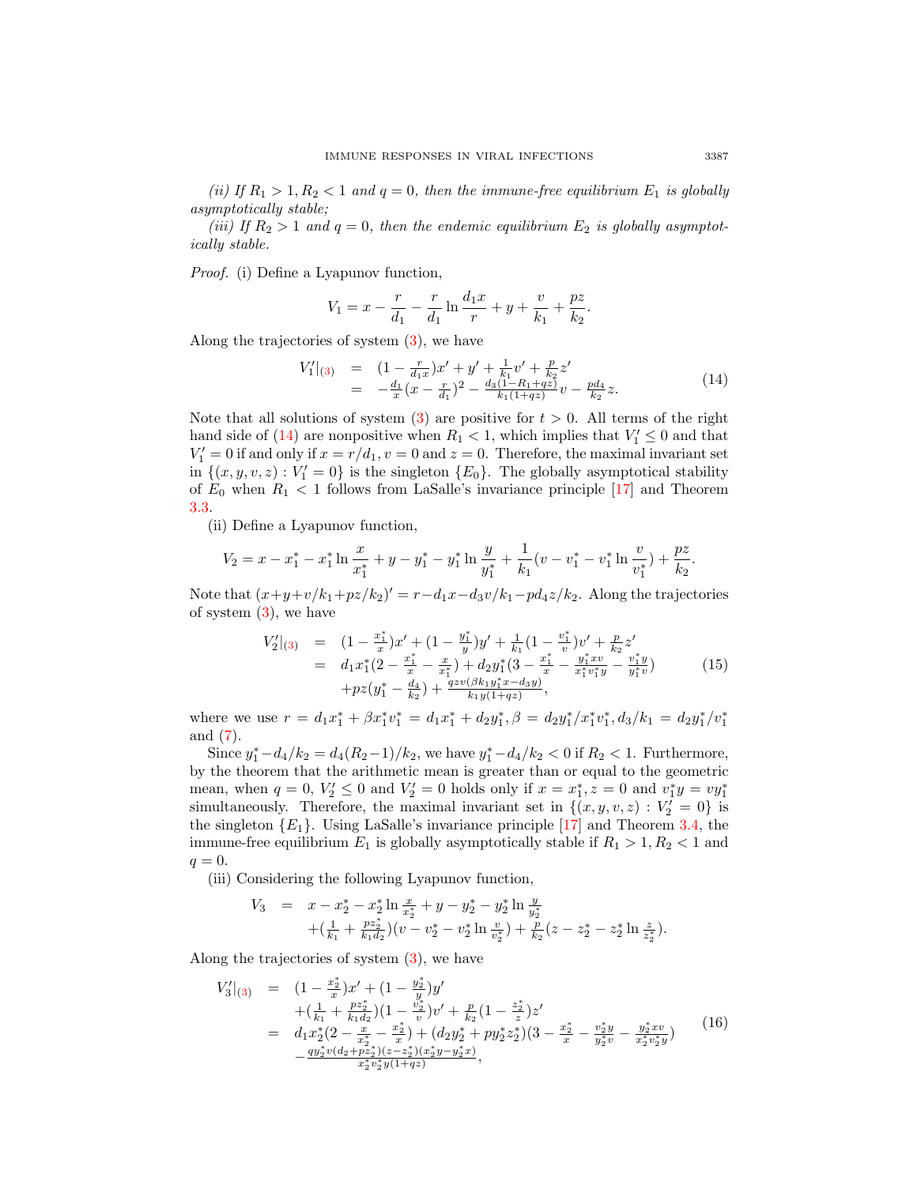(ii) If  $R_1 > 1, R_2 < 1$  and  $q = 0$ , then the immune-free equilibrium  $E_1$  is globally asymptotically stable;

(iii) If  $R_2 > 1$  and  $q = 0$ , then the endemic equilibrium  $E_2$  is globally asymptotically stable.

Proof. (i) Define a Lyapunov function,

$$
V_1 = x - \frac{r}{d_1} - \frac{r}{d_1} \ln \frac{d_1 x}{r} + y + \frac{v}{k_1} + \frac{pz}{k_2}.
$$

Along the trajectories of system [\(3\)](#page-2-0), we have

<span id="page-8-0"></span>
$$
V'_1|_{(3)} = (1 - \frac{r}{d_1 x})x' + y' + \frac{1}{k_1} v' + \frac{p}{k_2} z' = -\frac{d_1}{x}(x - \frac{r}{d_1})^2 - \frac{d_3(1 - R_1 + qz)}{k_1(1 + qz)}v - \frac{pd_4}{k_2}z.
$$
(14)

Note that all solutions of system [\(3\)](#page-2-0) are positive for  $t > 0$ . All terms of the right hand side of [\(14\)](#page-8-0) are nonpositive when  $R_1 < 1$ , which implies that  $V'_1 \leq 0$  and that  $V_1' = 0$  if and only if  $x = r/d_1$ ,  $v = 0$  and  $z = 0$ . Therefore, the maximal invariant set in  $\{(x, y, v, z) : V_1' = 0\}$  is the singleton  $\{E_0\}$ . The globally asymptotical stability of  $E_0$  when  $R_1 < 1$  follows from LaSalle's invariance principle [\[17\]](#page-16-13) and Theorem [3.3.](#page-6-2)

(ii) Define a Lyapunov function,

$$
V_2 = x - x_1^* - x_1^* \ln \frac{x}{x_1^*} + y - y_1^* - y_1^* \ln \frac{y}{y_1^*} + \frac{1}{k_1} (v - v_1^* - v_1^* \ln \frac{v}{v_1^*}) + \frac{pz}{k_2}.
$$

Note that  $(x+y+v/k_1+pz/k_2)' = r-d_1x-d_3v/k_1-pd_4z/k_2$ . Along the trajectories of system  $(3)$ , we have

<span id="page-8-1"></span>
$$
V'_{2}|_{(3)} = (1 - \frac{x_{1}^{*}}{x})x' + (1 - \frac{y_{1}^{*}}{y})y' + \frac{1}{k_{1}}(1 - \frac{v_{1}^{*}}{v})v' + \frac{p}{k_{2}}z' = d_{1}x_{1}^{*}(2 - \frac{x_{1}^{*}}{x} - \frac{x_{1}^{*}}{x_{1}^{*}}) + d_{2}y_{1}^{*}(3 - \frac{x_{1}^{*}}{x} - \frac{y_{1}^{*}xv}{x_{1}^{*}v_{1}^{*}y} - \frac{v_{1}^{*}y}{y_{1}^{*}v}) + pz(y_{1}^{*} - \frac{d_{4}}{k_{2}}) + \frac{qzv(\beta k_{1}y_{1}^{*}x - d_{3}y)}{k_{1}y(1 + qz)},
$$
(15)

where we use  $r = d_1x_1^* + \beta x_1^*v_1^* = d_1x_1^* + d_2y_1^*, \beta = d_2y_1^*/x_1^*v_1^*, d_3/k_1 = d_2y_1^*/v_1^*$ and [\(7\)](#page-5-2).

Since  $y_1^* - d_4/k_2 = d_4(R_2 - 1)/k_2$ , we have  $y_1^* - d_4/k_2 < 0$  if  $R_2 < 1$ . Furthermore, by the theorem that the arithmetic mean is greater than or equal to the geometric mean, when  $q = 0, V'_2 \le 0$  and  $V'_2 = 0$  holds only if  $x = x_1^*, z = 0$  and  $v_1^*y = vy_1^*$ simultaneously. Therefore, the maximal invariant set in  $\{(x, y, v, z) : V'_2 = 0\}$  is the singleton  $\{E_1\}$ . Using LaSalle's invariance principle [\[17\]](#page-16-13) and Theorem [3.4,](#page-6-3) the immune-free equilibrium  $E_1$  is globally asymptotically stable if  $R_1 > 1, R_2 < 1$  and  $q=0.$ 

(iii) Considering the following Lyapunov function,

$$
V_3 = x - x_2^* - x_2^* \ln \frac{x}{x_2^*} + y - y_2^* - y_2^* \ln \frac{y}{y_2^*} + (\frac{1}{k_1} + \frac{pz_2^*}{k_1d_2})(v - v_2^* - v_2^* \ln \frac{v}{v_2^*}) + \frac{p}{k_2}(z - z_2^* - z_2^* \ln \frac{z}{z_2^*}).
$$

Along the trajectories of system [\(3\)](#page-2-0), we have

<span id="page-8-2"></span>
$$
V'_{3}|_{(3)} = (1 - \frac{x_{2}^{*}}{x})x' + (1 - \frac{y_{2}^{*}}{y})y'
$$
  
+ 
$$
(\frac{1}{k_{1}} + \frac{pz_{2}^{*}}{k_{1}d_{2}})(1 - \frac{v_{2}^{*}}{v})v' + \frac{p}{k_{2}}(1 - \frac{z_{2}^{*}}{z})z'
$$
  
= 
$$
d_{1}x_{2}^{*}(2 - \frac{x}{x_{2}^{*}} - \frac{x_{2}^{*}}{x}) + (d_{2}y_{2}^{*} + py_{2}^{*}z_{2}^{*})(3 - \frac{x_{2}^{*}}{x} - \frac{v_{2}^{*}y}{y_{2}^{*}v} - \frac{y_{2}^{*}xv}{x_{2}^{*}v_{2}^{*}y})
$$

$$
- \frac{qy_{2}^{*}v(d_{2} + pz_{2}^{*})(z - z_{2}^{*})(x_{2}^{*}y - y_{2}^{*}x)}{x_{2}^{*}v_{2}^{*}y(1 + qz)},
$$
(16)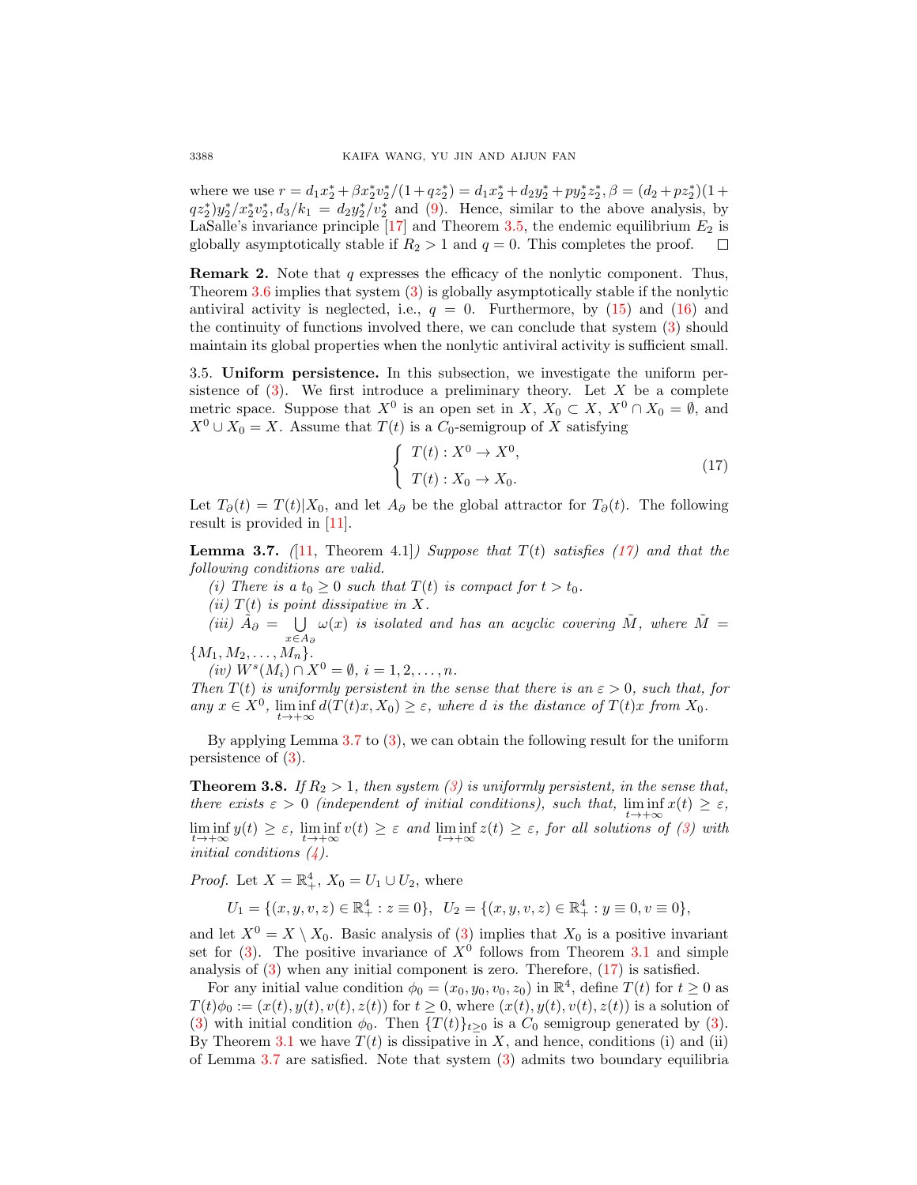where we use  $r = d_1 x_2^* + \beta x_2^* y_2^* / (1 + q z_2^*) = d_1 x_2^* + d_2 y_2^* + p y_2^* z_2^*, \beta = (d_2 + p z_2^*) (1 + p z_2^*)$  $qz_2^*$ )y<sup>\*</sup><sub>2</sub>/x<sup>\*</sup><sub>2</sub>v<sup>\*</sup><sub>3</sub>,  $d_3/k_1 = d_2y_2^*/v_2^*$  and [\(9\)](#page-5-3). Hence, similar to the above analysis, by LaSalle's invariance principle  $[17]$  and Theorem [3.5,](#page-6-4) the endemic equilibrium  $E_2$  is globally asymptotically stable if  $R_2 > 1$  and  $q = 0$ . This completes the proof.  $\Box$ 

<span id="page-9-2"></span>**Remark 2.** Note that  $q$  expresses the efficacy of the nonlytic component. Thus, Theorem [3.6](#page-7-0) implies that system [\(3\)](#page-2-0) is globally asymptotically stable if the nonlytic antiviral activity is neglected, i.e.,  $q = 0$ . Furthermore, by [\(15\)](#page-8-1) and [\(16\)](#page-8-2) and the continuity of functions involved there, we can conclude that system [\(3\)](#page-2-0) should maintain its global properties when the nonlytic antiviral activity is sufficient small.

3.5. Uniform persistence. In this subsection, we investigate the uniform persistence of  $(3)$ . We first introduce a preliminary theory. Let X be a complete metric space. Suppose that  $X^0$  is an open set in  $X, X_0 \subset X, X^0 \cap X_0 = \emptyset$ , and  $X^0 \cup X_0 = X$ . Assume that  $T(t)$  is a  $C_0$ -semigroup of X satisfying

<span id="page-9-0"></span>
$$
\begin{cases}\nT(t): X^0 \to X^0, \\
T(t): X_0 \to X_0.\n\end{cases}
$$
\n(17)

Let  $T_{\partial}(t) = T(t)|X_0$ , and let  $A_{\partial}$  be the global attractor for  $T_{\partial}(t)$ . The following result is provided in [\[11\]](#page-16-14).

<span id="page-9-1"></span>**Lemma 3.7.** ([\[11,](#page-16-14) Theorem 4.1]) Suppose that  $T(t)$  satisfies [\(17\)](#page-9-0) and that the following conditions are valid.

(i) There is a  $t_0 \geq 0$  such that  $T(t)$  is compact for  $t > t_0$ .

(ii)  $T(t)$  is point dissipative in X.

(*iii*)  $\tilde{A}_{\partial}$  =  $\bigcup$ x∈A<sup>∂</sup>  $\omega(x)$  is isolated and has an acyclic covering  $\tilde{M}$ , where  $\tilde{M} =$ 

$$
\{M_1,M_2,\ldots,M_n\}.
$$

 $(iv) W^s(M_i) \cap X^0 = \emptyset, i = 1, 2, ..., n.$ 

Then  $T(t)$  is uniformly persistent in the sense that there is an  $\varepsilon > 0$ , such that, for any  $x \in X^0$ ,  $\liminf_{t \to +\infty} d(T(t)x, X_0) \geq \varepsilon$ , where d is the distance of  $T(t)x$  from  $X_0$ .

By applying Lemma [3.7](#page-9-1) to [\(3\)](#page-2-0), we can obtain the following result for the uniform persistence of [\(3\)](#page-2-0).

**Theorem 3.8.** If  $R_2 > 1$ , then system [\(3\)](#page-2-0) is uniformly persistent, in the sense that, there exists  $\varepsilon > 0$  (independent of initial conditions), such that,  $\liminf x(t) \geq \varepsilon$ ,  $t\rightarrow+\infty$  $\liminf_{t\to+\infty} y(t) \geq \varepsilon$ ,  $\liminf_{t\to+\infty} v(t) \geq \varepsilon$  and  $\liminf_{t\to+\infty} z(t) \geq \varepsilon$ , for all solutions of [\(3\)](#page-2-0) with initial conditions  $(4)$ .

*Proof.* Let  $X = \mathbb{R}^4_+$ ,  $X_0 = U_1 \cup U_2$ , where

$$
U_1 = \{(x, y, v, z) \in \mathbb{R}_+^4 : z \equiv 0\}, \ \ U_2 = \{(x, y, v, z) \in \mathbb{R}_+^4 : y \equiv 0, v \equiv 0\},\
$$

and let  $X^0 = X \setminus X_0$ . Basic analysis of [\(3\)](#page-2-0) implies that  $X_0$  is a positive invariant set for  $(3)$ . The positive invariance of  $X^0$  follows from Theorem [3.1](#page-3-1) and simple analysis of  $(3)$  when any initial component is zero. Therefore,  $(17)$  is satisfied.

For any initial value condition  $\phi_0 = (x_0, y_0, v_0, z_0)$  in  $\mathbb{R}^4$ , define  $T(t)$  for  $t \geq 0$  as  $T(t)\phi_0 := (x(t), y(t), v(t), z(t))$  for  $t \geq 0$ , where  $(x(t), y(t), v(t), z(t))$  is a solution of [\(3\)](#page-2-0) with initial condition  $\phi_0$ . Then  $\{T(t)\}_{t>0}$  is a  $C_0$  semigroup generated by (3). By Theorem [3.1](#page-3-1) we have  $T(t)$  is dissipative in X, and hence, conditions (i) and (ii) of Lemma [3.7](#page-9-1) are satisfied. Note that system [\(3\)](#page-2-0) admits two boundary equilibria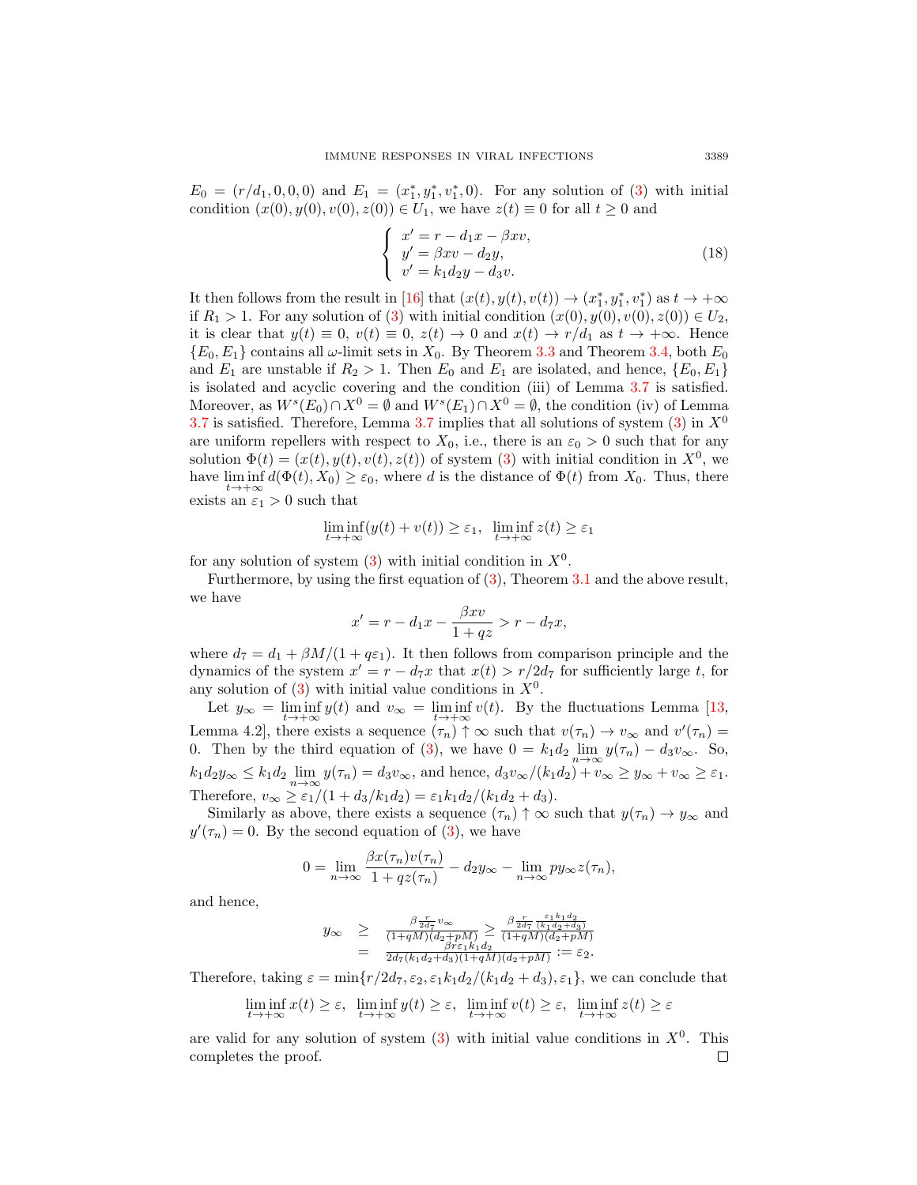$E_0 = (r/d_1, 0, 0, 0)$  and  $E_1 = (x_1^*, y_1^*, v_1^*, 0)$ . For any solution of [\(3\)](#page-2-0) with initial condition  $(x(0), y(0), v(0), z(0)) \in U_1$ , we have  $z(t) \equiv 0$  for all  $t \geq 0$  and

$$
\begin{cases}\nx' = r - d_1 x - \beta x v, \ny' = \beta x v - d_2 y, \nv' = k_1 d_2 y - d_3 v.\n\end{cases}
$$
\n(18)

It then follows from the result in [\[16\]](#page-16-15) that  $(x(t), y(t), v(t)) \rightarrow (x_1^*, y_1^*, v_1^*)$  as  $t \rightarrow +\infty$ if  $R_1 > 1$ . For any solution of [\(3\)](#page-2-0) with initial condition  $(x(0), y(0), v(0), z(0)) \in U_2$ , it is clear that  $y(t) \equiv 0$ ,  $v(t) \equiv 0$ ,  $z(t) \to 0$  and  $x(t) \to r/d_1$  as  $t \to +\infty$ . Hence  ${E_0, E_1}$  contains all  $\omega$ -limit sets in  $X_0$ . By Theorem [3.3](#page-6-2) and Theorem [3.4,](#page-6-3) both  $E_0$ and  $E_1$  are unstable if  $R_2 > 1$ . Then  $E_0$  and  $E_1$  are isolated, and hence,  $\{E_0, E_1\}$ is isolated and acyclic covering and the condition (iii) of Lemma [3.7](#page-9-1) is satisfied. Moreover, as  $W^s(E_0) \cap X^0 = \emptyset$  and  $W^s(E_1) \cap X^0 = \emptyset$ , the condition (iv) of Lemma [3.7](#page-9-1) is satisfied. Therefore, Lemma 3.7 implies that all solutions of system  $(3)$  in  $X^0$ are uniform repellers with respect to  $X_0$ , i.e., there is an  $\varepsilon_0 > 0$  such that for any solution  $\Phi(t) = (x(t), y(t), v(t), z(t))$  of system [\(3\)](#page-2-0) with initial condition in  $X^0$ , we have  $\liminf_{t\to+\infty} d(\Phi(t),X_0)\geq \varepsilon_0$ , where d is the distance of  $\Phi(t)$  from  $X_0$ . Thus, there exists an  $\varepsilon_1 > 0$  such that

$$
\liminf_{t \to +\infty} (y(t) + v(t)) \ge \varepsilon_1, \ \liminf_{t \to +\infty} z(t) \ge \varepsilon_1
$$

for any solution of system  $(3)$  with initial condition in  $X<sup>0</sup>$ .

Furthermore, by using the first equation of [\(3\)](#page-2-0), Theorem [3.1](#page-3-1) and the above result, we have

$$
x' = r - d_1 x - \frac{\beta x v}{1 + qz} > r - d_7 x,
$$

where  $d_7 = d_1 + \beta M/(1 + q \epsilon_1)$ . It then follows from comparison principle and the dynamics of the system  $x' = r - d_7x$  that  $x(t) > r/2d_7$  for sufficiently large t, for any solution of  $(3)$  with initial value conditions in  $X^0$ .

Let  $y_{\infty} = \liminf_{t \to +\infty} y(t)$  and  $v_{\infty} = \liminf_{t \to +\infty} v(t)$ . By the fluctuations Lemma [\[13,](#page-16-16) Lemma 4.2, there exists a sequence  $(\tau_n) \uparrow \infty$  such that  $v(\tau_n) \to v_\infty$  and  $v'(\tau_n) =$ 0. Then by the third equation of [\(3\)](#page-2-0), we have  $0 = k_1 d_2 \lim_{n \to \infty} y(\tau_n) - d_3 v_{\infty}$ . So,  $k_1d_2y_\infty \leq k_1d_2 \lim_{n \to \infty} y(\tau_n) = d_3v_\infty$ , and hence,  $d_3v_\infty/(k_1d_2) + v_\infty \geq y_\infty + v_\infty \geq \varepsilon_1$ . Therefore,  $v_{\infty} \ge \varepsilon_1/(1 + d_3/k_1 d_2) = \varepsilon_1 k_1 d_2/(k_1 d_2 + d_3).$ 

Similarly as above, there exists a sequence  $(\tau_n) \uparrow \infty$  such that  $y(\tau_n) \to y_\infty$  and  $y'(\tau_n) = 0$ . By the second equation of [\(3\)](#page-2-0), we have

$$
0 = \lim_{n \to \infty} \frac{\beta x(\tau_n) v(\tau_n)}{1 + qz(\tau_n)} - d_2 y_\infty - \lim_{n \to \infty} py_\infty z(\tau_n),
$$

and hence,

$$
y_{\infty} \geq \frac{\beta \frac{r}{2d\tau} v_{\infty}}{(1+qM)(d_2+pM)} \geq \frac{\beta \frac{r}{2d\tau} \frac{\epsilon_1 k_1 d_2}{(k_1 d_2 + d_3)}}{(1+qM)(d_2+pM)} = \frac{\beta r \epsilon_1 k_1 d_2}{2d\tau (k_1 d_2 + d_3)(1+qM)(d_2+pM)} := \epsilon_2.
$$

Therefore, taking  $\varepsilon = \min\{r/2d_7, \varepsilon_2, \varepsilon_1k_1d_2/(k_1d_2+d_3), \varepsilon_1\}$ , we can conclude that

$$
\liminf_{t \to +\infty} x(t) \ge \varepsilon, \quad \liminf_{t \to +\infty} y(t) \ge \varepsilon, \quad \liminf_{t \to +\infty} v(t) \ge \varepsilon, \quad \liminf_{t \to +\infty} z(t) \ge \varepsilon
$$

are valid for any solution of system  $(3)$  with initial value conditions in  $X^0$ . This completes the proof.□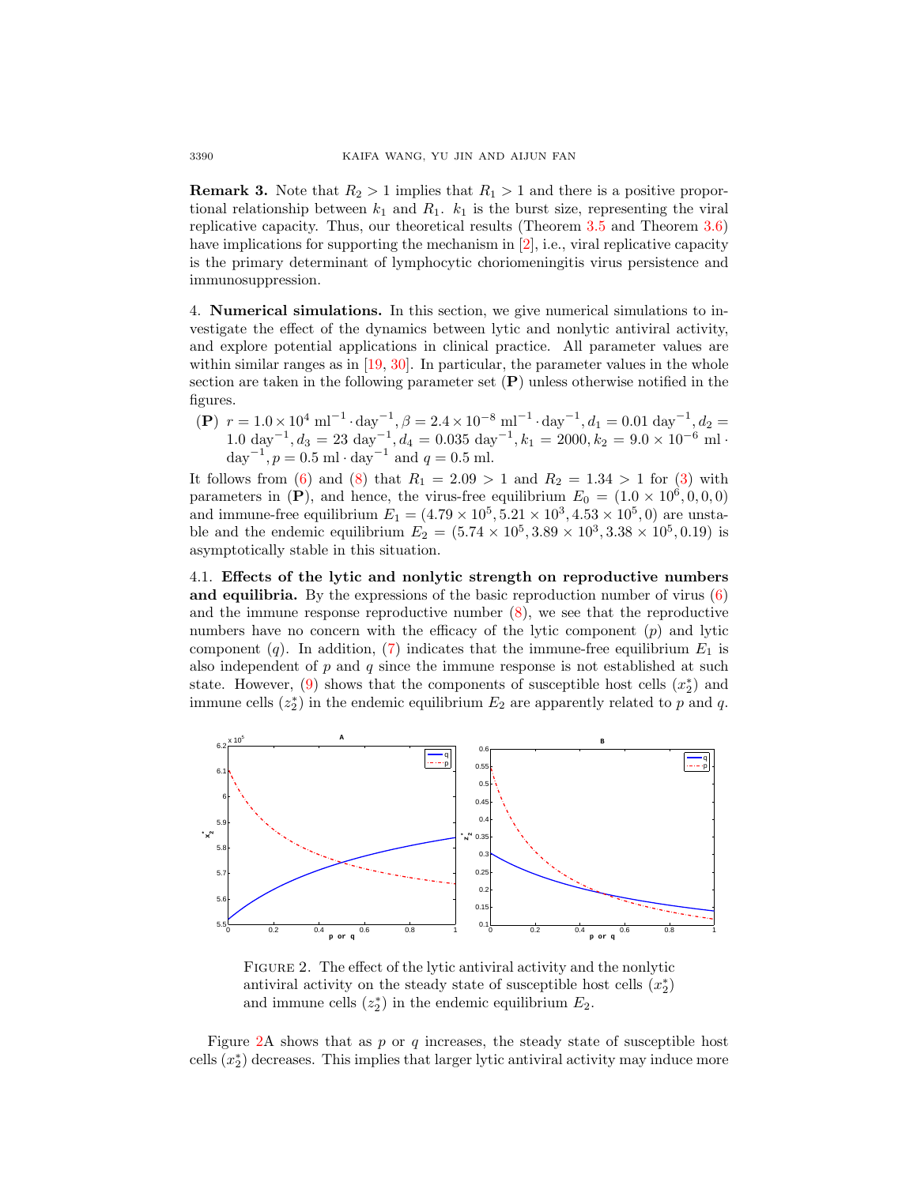**Remark 3.** Note that  $R_2 > 1$  implies that  $R_1 > 1$  and there is a positive proportional relationship between  $k_1$  and  $R_1$ .  $k_1$  is the burst size, representing the viral replicative capacity. Thus, our theoretical results (Theorem [3.5](#page-6-4) and Theorem [3.6\)](#page-7-0) have implications for supporting the mechanism in [\[2\]](#page-16-17), i.e., viral replicative capacity is the primary determinant of lymphocytic choriomeningitis virus persistence and immunosuppression.

4. Numerical simulations. In this section, we give numerical simulations to investigate the effect of the dynamics between lytic and nonlytic antiviral activity, and explore potential applications in clinical practice. All parameter values are within similar ranges as in [\[19,](#page-16-6) [30\]](#page-17-2). In particular, the parameter values in the whole section are taken in the following parameter set  $(P)$  unless otherwise notified in the figures.

(P)  $r = 1.0 \times 10^4 \text{ ml}^{-1} \cdot \text{day}^{-1}, \beta = 2.4 \times 10^{-8} \text{ ml}^{-1} \cdot \text{day}^{-1}, d_1 = 0.01 \text{ day}^{-1}, d_2 =$  $1.0 \text{ day}^{-1}, d_3 = 23 \text{ day}^{-1}, d_4 = 0.035 \text{ day}^{-1}, k_1 = 2000, k_2 = 9.0 \times 10^{-6} \text{ ml}$ day<sup>-1</sup>,  $p = 0.5$  ml · day<sup>-1</sup> and  $q = 0.5$  ml.

It follows from [\(6\)](#page-5-0) and [\(8\)](#page-5-1) that  $R_1 = 2.09 > 1$  and  $R_2 = 1.34 > 1$  for [\(3\)](#page-2-0) with parameters in (P), and hence, the virus-free equilibrium  $E_0 = (1.0 \times 10^6, 0, 0, 0)$ and immune-free equilibrium  $E_1 = (4.79 \times 10^5, 5.21 \times 10^3, 4.53 \times 10^5, 0)$  are unstable and the endemic equilibrium  $E_2 = (5.74 \times 10^5, 3.89 \times 10^3, 3.38 \times 10^5, 0.19)$  is asymptotically stable in this situation.

4.1. Effects of the lytic and nonlytic strength on reproductive numbers and equilibria. By the expressions of the basic reproduction number of virus  $(6)$ and the immune response reproductive number  $(8)$ , we see that the reproductive numbers have no concern with the efficacy of the lytic component  $(p)$  and lytic component (q). In addition, [\(7\)](#page-5-2) indicates that the immune-free equilibrium  $E_1$  is also independent of  $p$  and  $q$  since the immune response is not established at such state. However,  $(9)$  shows that the components of susceptible host cells  $(x_2^*)$  and immune cells  $(z_2^*)$  in the endemic equilibrium  $E_2$  are apparently related to p and q.



<span id="page-11-0"></span>FIGURE 2. The effect of the lytic antiviral activity and the nonlytic antiviral activity on the steady state of susceptible host cells  $(x_2^*)$ and immune cells  $(z_2^*)$  in the endemic equilibrium  $E_2$ .

Figure  $2A$  shows that as p or q increases, the steady state of susceptible host cells  $(x_2^*)$  decreases. This implies that larger lytic antiviral activity may induce more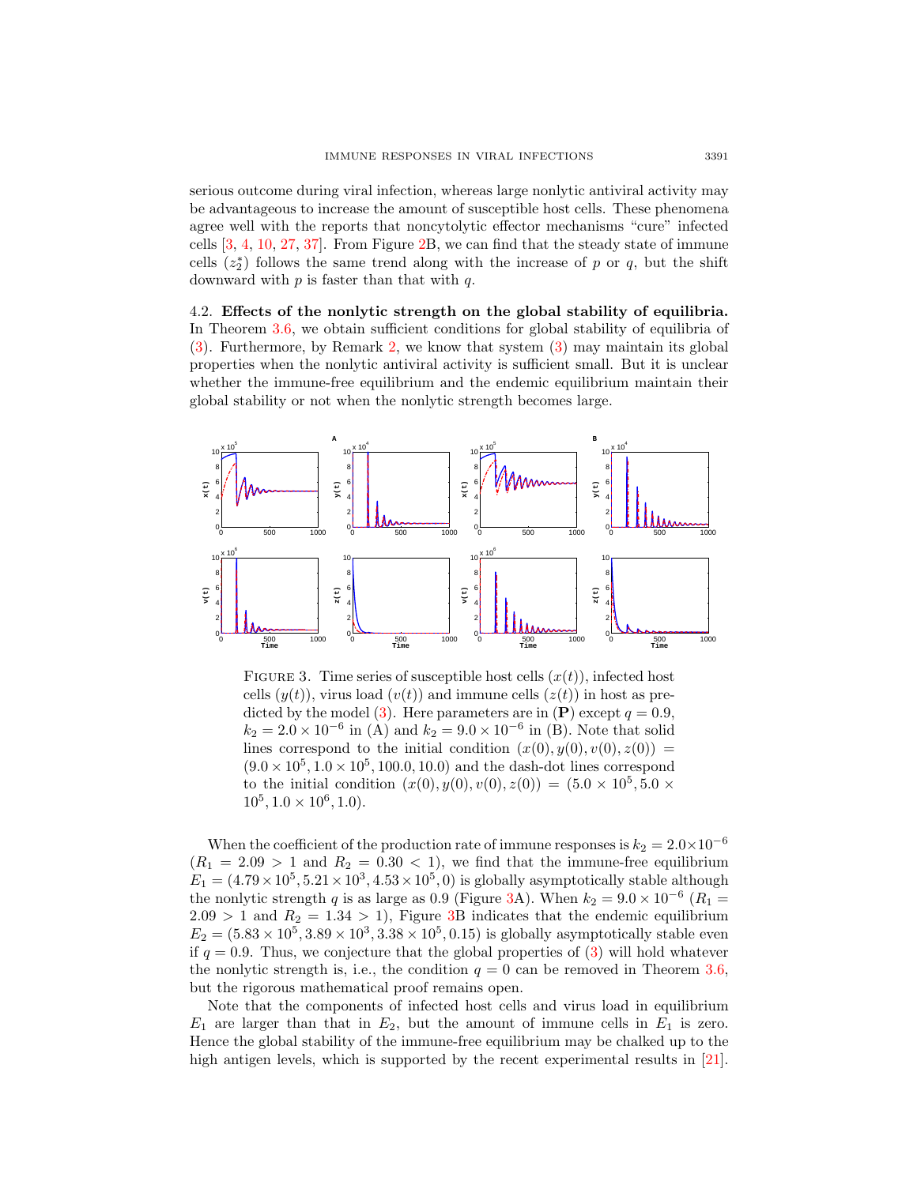serious outcome during viral infection, whereas large nonlytic antiviral activity may be advantageous to increase the amount of susceptible host cells. These phenomena agree well with the reports that noncytolytic effector mechanisms "cure" infected cells [\[3,](#page-16-18) [4,](#page-16-19) [10,](#page-16-20) [27,](#page-16-21) [37\]](#page-17-3). From Figure [2B](#page-11-0), we can find that the steady state of immune cells  $(z_2^*)$  follows the same trend along with the increase of p or q, but the shift downward with  $p$  is faster than that with  $q$ .

4.2. Effects of the nonlytic strength on the global stability of equilibria. In Theorem [3.6,](#page-7-0) we obtain sufficient conditions for global stability of equilibria of [\(3\)](#page-2-0). Furthermore, by Remark [2,](#page-9-2) we know that system [\(3\)](#page-2-0) may maintain its global properties when the nonlytic antiviral activity is sufficient small. But it is unclear whether the immune-free equilibrium and the endemic equilibrium maintain their global stability or not when the nonlytic strength becomes large.



<span id="page-12-0"></span>FIGURE 3. Time series of susceptible host cells  $(x(t))$ , infected host cells  $(y(t))$ , virus load  $(v(t))$  and immune cells  $(z(t))$  in host as pre-dicted by the model [\(3\)](#page-2-0). Here parameters are in  $(P)$  except  $q = 0.9$ ,  $k_2 = 2.0 \times 10^{-6}$  in (A) and  $k_2 = 9.0 \times 10^{-6}$  in (B). Note that solid lines correspond to the initial condition  $(x(0), y(0), v(0), z(0)) =$  $(9.0 \times 10^5, 1.0 \times 10^5, 100.0, 10.0)$  and the dash-dot lines correspond to the initial condition  $(x(0), y(0), v(0), z(0)) = (5.0 \times 10^5, 5.0 \times$  $10^5$ ,  $1.0 \times 10^6$ ,  $1.0$ ).

When the coefficient of the production rate of immune responses is  $k_2 = 2.0 \times 10^{-6}$  $(R_1 = 2.09 > 1$  and  $R_2 = 0.30 < 1$ , we find that the immune-free equilibrium  $E_1 = (4.79 \times 10^5, 5.21 \times 10^3, 4.53 \times 10^5, 0)$  is globally asymptotically stable although the nonlytic strength q is as large as 0.9 (Figure [3A](#page-12-0)). When  $k_2 = 9.0 \times 10^{-6}$  ( $R_1 =$  $2.09 > 1$  and  $R_2 = 1.34 > 1$ , Figure [3B](#page-12-0) indicates that the endemic equilibrium  $E_2 = (5.83 \times 10^5, 3.89 \times 10^3, 3.38 \times 10^5, 0.15)$  is globally asymptotically stable even if  $q = 0.9$ . Thus, we conjecture that the global properties of [\(3\)](#page-2-0) will hold whatever the nonlytic strength is, i.e., the condition  $q = 0$  can be removed in Theorem [3.6,](#page-7-0) but the rigorous mathematical proof remains open.

Note that the components of infected host cells and virus load in equilibrium  $E_1$  are larger than that in  $E_2$ , but the amount of immune cells in  $E_1$  is zero. Hence the global stability of the immune-free equilibrium may be chalked up to the high antigen levels, which is supported by the recent experimental results in [\[21\]](#page-16-22).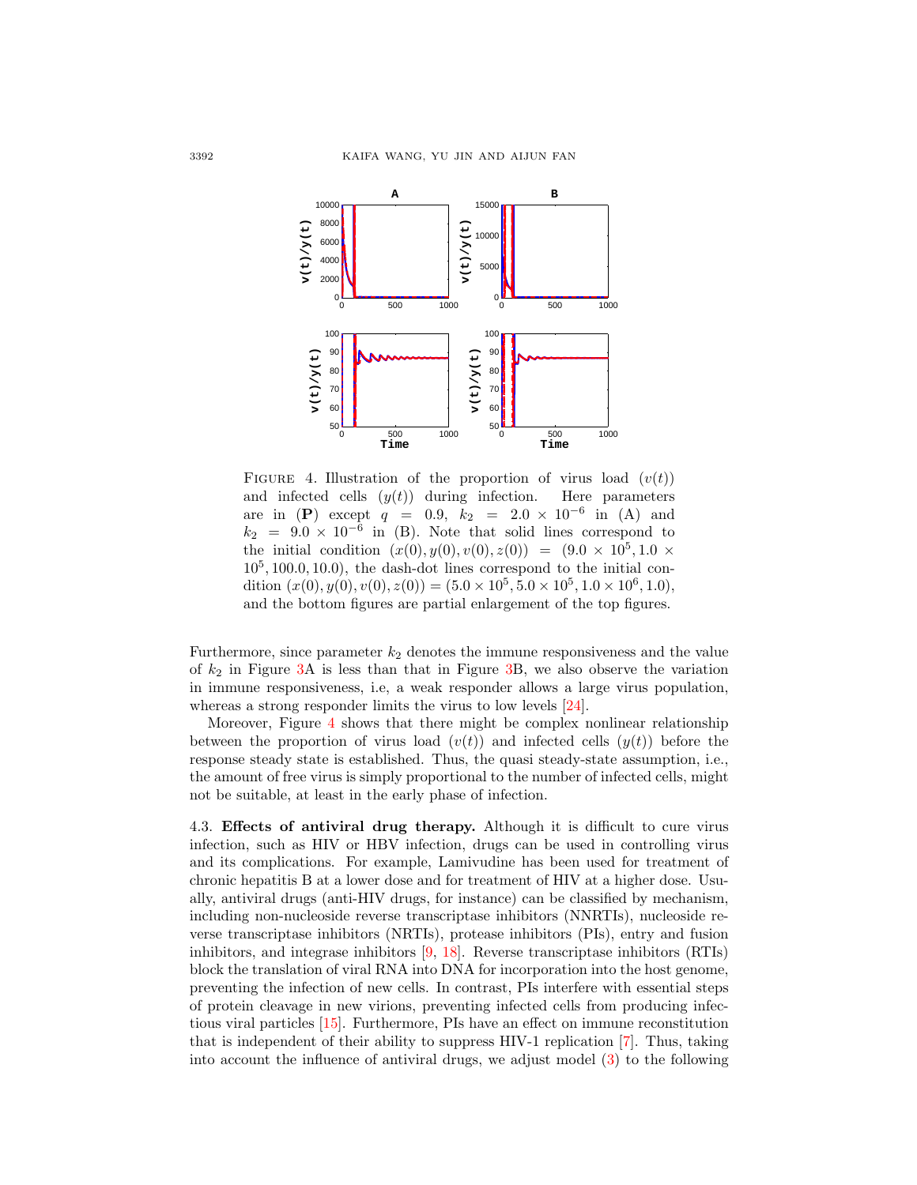

<span id="page-13-0"></span>FIGURE 4. Illustration of the proportion of virus load  $(v(t))$ and infected cells  $(y(t))$  during infection. Here parameters are in (P) except  $q = 0.9, k_2 = 2.0 \times 10^{-6}$  in (A) and  $k_2$  = 9.0 × 10<sup>-6</sup> in (B). Note that solid lines correspond to the initial condition  $(x(0), y(0), v(0), z(0)) = (9.0 \times 10^5, 1.0 \times$  $10<sup>5</sup>$ , 100.0, 10.0), the dash-dot lines correspond to the initial condition  $(x(0), y(0), v(0), z(0)) = (5.0 \times 10^5, 5.0 \times 10^5, 1.0 \times 10^6, 1.0),$ and the bottom figures are partial enlargement of the top figures.

Furthermore, since parameter  $k_2$  denotes the immune responsiveness and the value of  $k_2$  in Figure [3A](#page-12-0) is less than that in Figure [3B](#page-12-0), we also observe the variation in immune responsiveness, i.e, a weak responder allows a large virus population, whereas a strong responder limits the virus to low levels [\[24\]](#page-16-9).

Moreover, Figure [4](#page-13-0) shows that there might be complex nonlinear relationship between the proportion of virus load  $(v(t))$  and infected cells  $(y(t))$  before the response steady state is established. Thus, the quasi steady-state assumption, i.e., the amount of free virus is simply proportional to the number of infected cells, might not be suitable, at least in the early phase of infection.

4.3. Effects of antiviral drug therapy. Although it is difficult to cure virus infection, such as HIV or HBV infection, drugs can be used in controlling virus and its complications. For example, Lamivudine has been used for treatment of chronic hepatitis B at a lower dose and for treatment of HIV at a higher dose. Usually, antiviral drugs (anti-HIV drugs, for instance) can be classified by mechanism, including non-nucleoside reverse transcriptase inhibitors (NNRTIs), nucleoside reverse transcriptase inhibitors (NRTIs), protease inhibitors (PIs), entry and fusion inhibitors, and integrase inhibitors [\[9,](#page-16-23) [18\]](#page-16-2). Reverse transcriptase inhibitors (RTIs) block the translation of viral RNA into DNA for incorporation into the host genome, preventing the infection of new cells. In contrast, PIs interfere with essential steps of protein cleavage in new virions, preventing infected cells from producing infectious viral particles [\[15\]](#page-16-24). Furthermore, PIs have an effect on immune reconstitution that is independent of their ability to suppress HIV-1 replication [\[7\]](#page-16-25). Thus, taking into account the influence of antiviral drugs, we adjust model [\(3\)](#page-2-0) to the following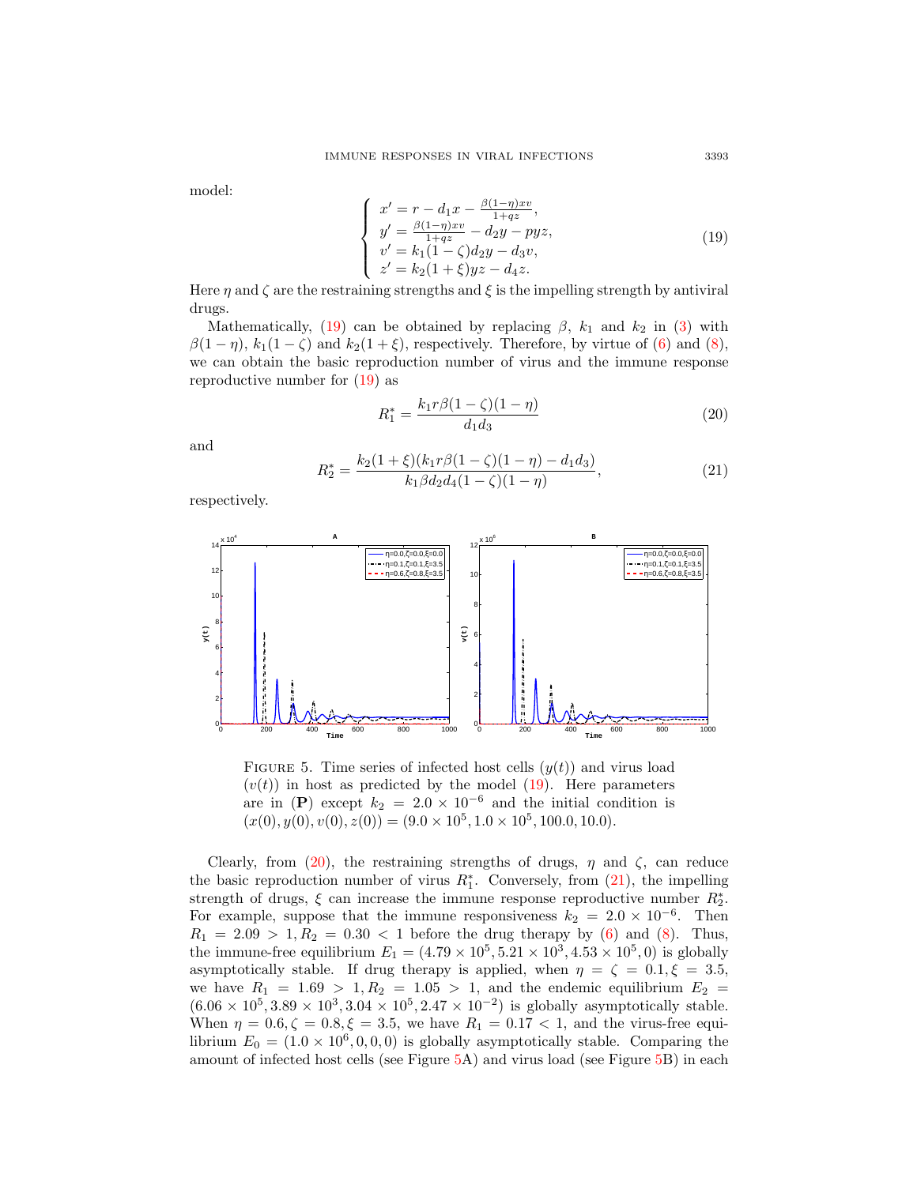model:

<span id="page-14-0"></span>
$$
\begin{cases}\nx' = r - d_1 x - \frac{\beta(1-\eta)xv}{1+qz}, \ny' = \frac{\beta(1-\eta)xv}{1+qz} - d_2 y - pyz, \nv' = k_1(1-\zeta)d_2 y - d_3 v, \nz' = k_2(1+\xi)yz - d_4 z.\n\end{cases}
$$
\n(19)

Here  $\eta$  and  $\zeta$  are the restraining strengths and  $\xi$  is the impelling strength by antiviral drugs.

Mathematically, [\(19\)](#page-14-0) can be obtained by replacing  $\beta$ ,  $k_1$  and  $k_2$  in [\(3\)](#page-2-0) with  $\beta(1-\eta), k_1(1-\zeta)$  and  $k_2(1+\xi)$ , respectively. Therefore, by virtue of [\(6\)](#page-5-0) and [\(8\)](#page-5-1), we can obtain the basic reproduction number of virus and the immune response reproductive number for  $(19)$  as

<span id="page-14-1"></span>
$$
R_1^* = \frac{k_1 r \beta (1 - \zeta)(1 - \eta)}{d_1 d_3} \tag{20}
$$

and

<span id="page-14-2"></span>
$$
R_2^* = \frac{k_2(1+\xi)(k_1r\beta(1-\zeta)(1-\eta) - d_1d_3)}{k_1\beta d_2d_4(1-\zeta)(1-\eta)},
$$
\n(21)

respectively.



<span id="page-14-3"></span>FIGURE 5. Time series of infected host cells  $(y(t))$  and virus load  $(v(t))$  in host as predicted by the model [\(19\)](#page-14-0). Here parameters are in (P) except  $k_2 = 2.0 \times 10^{-6}$  and the initial condition is  $(x(0), y(0), v(0), z(0)) = (9.0 \times 10^5, 1.0 \times 10^5, 100.0, 10.0).$ 

Clearly, from [\(20\)](#page-14-1), the restraining strengths of drugs,  $\eta$  and  $\zeta$ , can reduce the basic reproduction number of virus  $R_1^*$ . Conversely, from  $(21)$ , the impelling strength of drugs,  $\xi$  can increase the immune response reproductive number  $R_2^*$ . For example, suppose that the immune responsiveness  $k_2 = 2.0 \times 10^{-6}$ . Then  $R_1 = 2.09 > 1, R_2 = 0.30 < 1$  before the drug therapy by [\(6\)](#page-5-0) and [\(8\)](#page-5-1). Thus, the immune-free equilibrium  $E_1 = (4.79 \times 10^5, 5.21 \times 10^3, 4.53 \times 10^5, 0)$  is globally asymptotically stable. If drug therapy is applied, when  $\eta = \zeta = 0.1, \xi = 3.5$ , we have  $R_1 = 1.69 > 1, R_2 = 1.05 > 1$ , and the endemic equilibrium  $E_2 =$  $(6.06 \times 10^5, 3.89 \times 10^3, 3.04 \times 10^5, 2.47 \times 10^{-2})$  is globally asymptotically stable. When  $\eta = 0.6, \zeta = 0.8, \xi = 3.5$ , we have  $R_1 = 0.17 < 1$ , and the virus-free equilibrium  $E_0 = (1.0 \times 10^6, 0, 0, 0)$  is globally asymptotically stable. Comparing the amount of infected host cells (see Figure [5A](#page-14-3)) and virus load (see Figure [5B](#page-14-3)) in each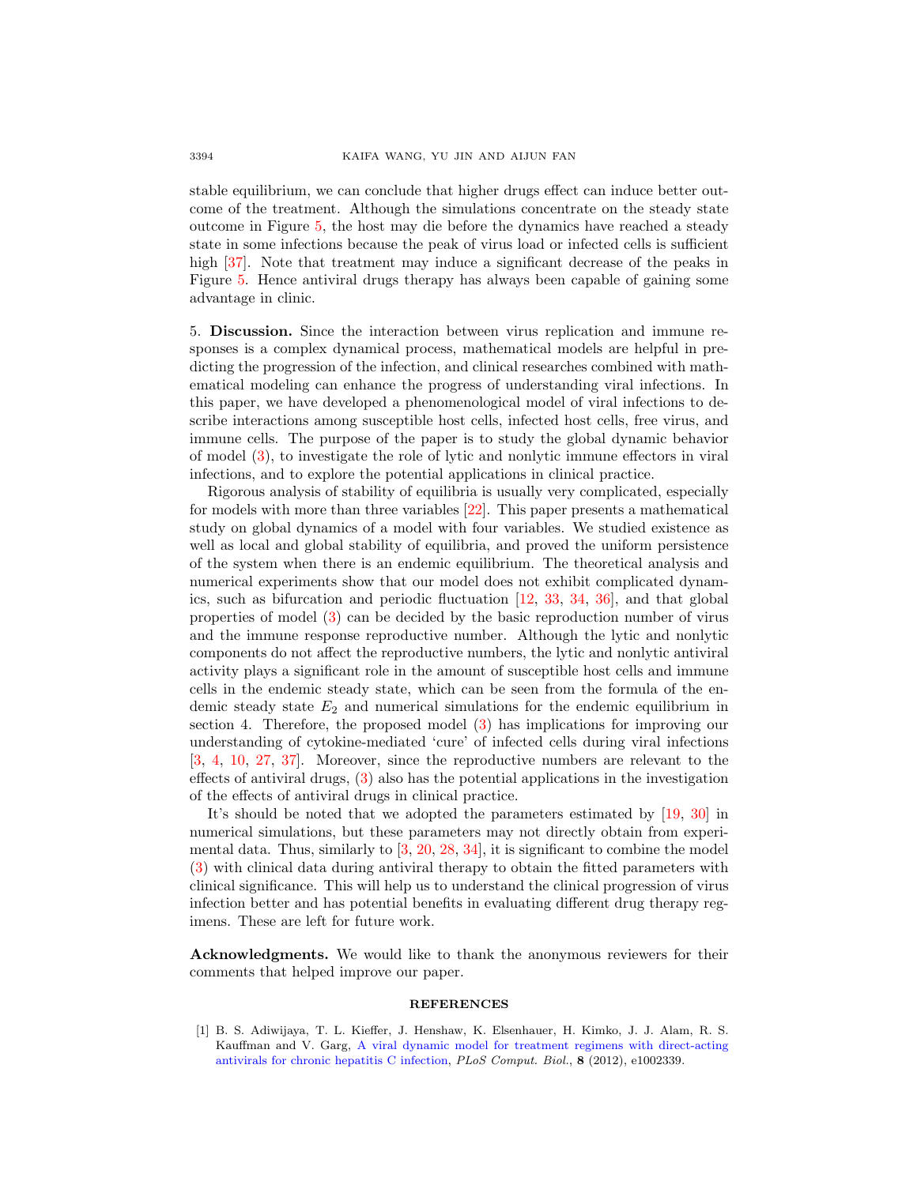stable equilibrium, we can conclude that higher drugs effect can induce better outcome of the treatment. Although the simulations concentrate on the steady state outcome in Figure [5,](#page-14-3) the host may die before the dynamics have reached a steady state in some infections because the peak of virus load or infected cells is sufficient high [\[37\]](#page-17-3). Note that treatment may induce a significant decrease of the peaks in Figure [5.](#page-14-3) Hence antiviral drugs therapy has always been capable of gaining some advantage in clinic.

5. Discussion. Since the interaction between virus replication and immune responses is a complex dynamical process, mathematical models are helpful in predicting the progression of the infection, and clinical researches combined with mathematical modeling can enhance the progress of understanding viral infections. In this paper, we have developed a phenomenological model of viral infections to describe interactions among susceptible host cells, infected host cells, free virus, and immune cells. The purpose of the paper is to study the global dynamic behavior of model [\(3\)](#page-2-0), to investigate the role of lytic and nonlytic immune effectors in viral infections, and to explore the potential applications in clinical practice.

Rigorous analysis of stability of equilibria is usually very complicated, especially for models with more than three variables [\[22\]](#page-16-7). This paper presents a mathematical study on global dynamics of a model with four variables. We studied existence as well as local and global stability of equilibria, and proved the uniform persistence of the system when there is an endemic equilibrium. The theoretical analysis and numerical experiments show that our model does not exhibit complicated dynamics, such as bifurcation and periodic fluctuation [\[12,](#page-16-0) [33,](#page-17-7) [34,](#page-17-9) [36\]](#page-17-10), and that global properties of model [\(3\)](#page-2-0) can be decided by the basic reproduction number of virus and the immune response reproductive number. Although the lytic and nonlytic components do not affect the reproductive numbers, the lytic and nonlytic antiviral activity plays a significant role in the amount of susceptible host cells and immune cells in the endemic steady state, which can be seen from the formula of the endemic steady state  $E_2$  and numerical simulations for the endemic equilibrium in section 4. Therefore, the proposed model [\(3\)](#page-2-0) has implications for improving our understanding of cytokine-mediated 'cure' of infected cells during viral infections [\[3,](#page-16-18) [4,](#page-16-19) [10,](#page-16-20) [27,](#page-16-21) [37\]](#page-17-3). Moreover, since the reproductive numbers are relevant to the effects of antiviral drugs, [\(3\)](#page-2-0) also has the potential applications in the investigation of the effects of antiviral drugs in clinical practice.

It's should be noted that we adopted the parameters estimated by [\[19,](#page-16-6) [30\]](#page-17-2) in numerical simulations, but these parameters may not directly obtain from experimental data. Thus, similarly to  $\left[3, 20, 28, 34\right]$  $\left[3, 20, 28, 34\right]$  $\left[3, 20, 28, 34\right]$  $\left[3, 20, 28, 34\right]$  $\left[3, 20, 28, 34\right]$  $\left[3, 20, 28, 34\right]$  $\left[3, 20, 28, 34\right]$ , it is significant to combine the model [\(3\)](#page-2-0) with clinical data during antiviral therapy to obtain the fitted parameters with clinical significance. This will help us to understand the clinical progression of virus infection better and has potential benefits in evaluating different drug therapy regimens. These are left for future work.

Acknowledgments. We would like to thank the anonymous reviewers for their comments that helped improve our paper.

## **REFERENCES**

<span id="page-15-0"></span>[1] B. S. Adiwijaya, T. L. Kieffer, J. Henshaw, K. Elsenhauer, H. Kimko, J. J. Alam, R. S. Kauffman and V. Garg, [A viral dynamic model for treatment regimens with direct-acting](http://dx.doi.org/10.1371/journal.pcbi.1002339) [antivirals for chronic hepatitis C infection,](http://dx.doi.org/10.1371/journal.pcbi.1002339) PLoS Comput. Biol., 8 (2012), e1002339.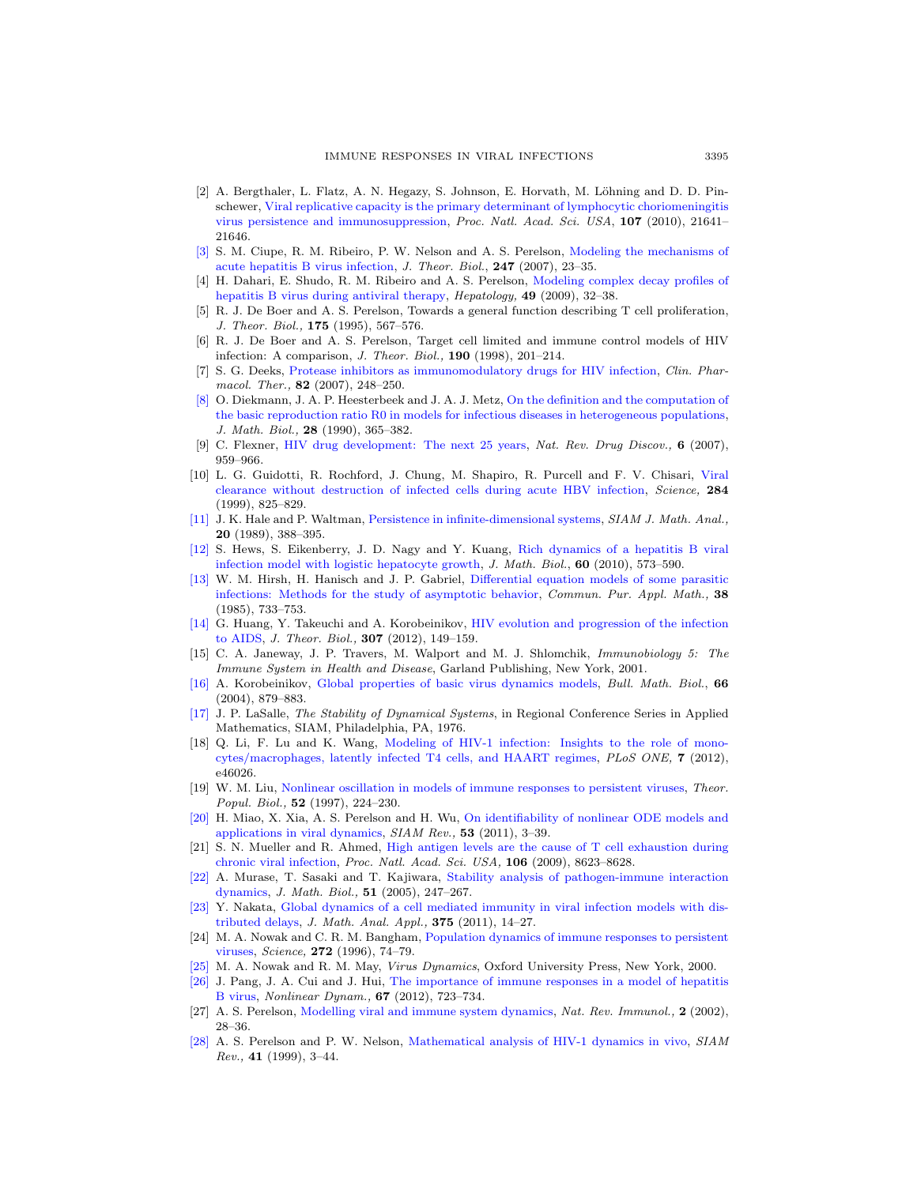- <span id="page-16-17"></span>[2] A. Bergthaler, L. Flatz, A. N. Hegazy, S. Johnson, E. Horvath, M. Löhning and D. D. Pinschewer, [Viral replicative capacity is the primary determinant of lymphocytic choriomeningitis](http://dx.doi.org/10.1073/pnas.1011998107) [virus persistence and immunosuppression,](http://dx.doi.org/10.1073/pnas.1011998107) Proc. Natl. Acad. Sci. USA, 107 (2010), 21641– 21646.
- <span id="page-16-18"></span>[\[3\]](http://www.ams.org/mathscinet-getitem?mr=MR2306969&return=pdf) S. M. Ciupe, R. M. Ribeiro, P. W. Nelson and A. S. Perelson, [Modeling the mechanisms of](http://dx.doi.org/10.1016/j.jtbi.2007.02.017) [acute hepatitis B virus infection,](http://dx.doi.org/10.1016/j.jtbi.2007.02.017) J. Theor. Biol., 247 (2007), 23–35.
- <span id="page-16-19"></span>[4] H. Dahari, E. Shudo, R. M. Ribeiro and A. S. Perelson, [Modeling complex decay profiles of](http://dx.doi.org/10.1002/hep.22586) [hepatitis B virus during antiviral therapy,](http://dx.doi.org/10.1002/hep.22586) Hepatology, 49 (2009), 32–38.
- <span id="page-16-10"></span>[5] R. J. De Boer and A. S. Perelson, Towards a general function describing T cell proliferation, J. Theor. Biol., **175** (1995), 567-576.
- <span id="page-16-11"></span>[6] R. J. De Boer and A. S. Perelson, Target cell limited and immune control models of HIV infection: A comparison, J. Theor. Biol., 190 (1998), 201–214.
- <span id="page-16-25"></span>[7] S. G. Deeks, [Protease inhibitors as immunomodulatory drugs for HIV infection,](http://dx.doi.org/10.1038/sj.clpt.6100205) Clin. Pharmacol. Ther., 82 (2007), 248-250.
- <span id="page-16-12"></span>[\[8\]](http://www.ams.org/mathscinet-getitem?mr=MR1057044&return=pdf) O. Diekmann, J. A. P. Heesterbeek and J. A. J. Metz, [On the definition and the computation of](http://dx.doi.org/10.1007/BF00178324) [the basic reproduction ratio R0 in models for infectious diseases in heterogeneous populations,](http://dx.doi.org/10.1007/BF00178324) J. Math. Biol., 28 (1990), 365–382.
- <span id="page-16-23"></span>[9] C. Flexner, [HIV drug development: The next 25 years,](http://dx.doi.org/10.1038/nrd2336) Nat. Rev. Drug Discov., 6 (2007), 959–966.
- <span id="page-16-20"></span>[10] L. G. Guidotti, R. Rochford, J. Chung, M. Shapiro, R. Purcell and F. V. Chisari, [Viral](http://dx.doi.org/10.1126/science.284.5415.825) [clearance without destruction of infected cells during acute HBV infection,](http://dx.doi.org/10.1126/science.284.5415.825) Science, 284 (1999), 825–829.
- <span id="page-16-14"></span>[\[11\]](http://www.ams.org/mathscinet-getitem?mr=MR0982666&return=pdf) J. K. Hale and P. Waltman, [Persistence in infinite-dimensional systems,](http://dx.doi.org/10.1137/0520025) SIAM J. Math. Anal., 20 (1989), 388–395.
- <span id="page-16-0"></span>[\[12\]](http://www.ams.org/mathscinet-getitem?mr=MR2587590&return=pdf) S. Hews, S. Eikenberry, J. D. Nagy and Y. Kuang, [Rich dynamics of a hepatitis B viral](http://dx.doi.org/10.1007/s00285-009-0278-3) [infection model with logistic hepatocyte growth,](http://dx.doi.org/10.1007/s00285-009-0278-3) J. Math. Biol., 60 (2010), 573–590.
- <span id="page-16-16"></span>[\[13\]](http://www.ams.org/mathscinet-getitem?mr=MR0812345&return=pdf) W. M. Hirsh, H. Hanisch and J. P. Gabriel, [Differential equation models of some parasitic](http://dx.doi.org/10.1002/cpa.3160380607) [infections: Methods for the study of asymptotic behavior,](http://dx.doi.org/10.1002/cpa.3160380607) Commun. Pur. Appl. Math., 38 (1985), 733–753.
- <span id="page-16-1"></span>[\[14\]](http://www.ams.org/mathscinet-getitem?mr=MR2945419&return=pdf) G. Huang, Y. Takeuchi and A. Korobeinikov, [HIV evolution and progression of the infection](http://dx.doi.org/10.1016/j.jtbi.2012.05.013) [to AIDS,](http://dx.doi.org/10.1016/j.jtbi.2012.05.013) J. Theor. Biol., 307 (2012), 149–159.
- <span id="page-16-24"></span>[15] C. A. Janeway, J. P. Travers, M. Walport and M. J. Shlomchik, Immunobiology 5: The Immune System in Health and Disease, Garland Publishing, New York, 2001.
- <span id="page-16-15"></span>[\[16\]](http://www.ams.org/mathscinet-getitem?mr=MR2255781&return=pdf) A. Korobeinikov, [Global properties of basic virus dynamics models,](http://dx.doi.org/10.1016/j.bulm.2004.02.001) Bull. Math. Biol., 66 (2004), 879–883.
- <span id="page-16-13"></span>[\[17\]](http://www.ams.org/mathscinet-getitem?mr=MR0481301&return=pdf) J. P. LaSalle, The Stability of Dynamical Systems, in Regional Conference Series in Applied Mathematics, SIAM, Philadelphia, PA, 1976.
- <span id="page-16-2"></span>[18] Q. Li, F. Lu and K. Wang, [Modeling of HIV-1 infection: Insights to the role of mono](http://dx.doi.org/10.1371/journal.pone.0046026)[cytes/macrophages, latently infected T4 cells, and HAART regimes,](http://dx.doi.org/10.1371/journal.pone.0046026) PLoS ONE, 7 (2012), e46026.
- <span id="page-16-6"></span>[19] W. M. Liu, [Nonlinear oscillation in models of immune responses to persistent viruses,](http://dx.doi.org/10.1006/tpbi.1997.1334) Theor. Popul. Biol., **52** (1997), 224-230.
- <span id="page-16-26"></span>[\[20\]](http://www.ams.org/mathscinet-getitem?mr=MR2785878&return=pdf) H. Miao, X. Xia, A. S. Perelson and H. Wu, [On identifiability of nonlinear ODE models and](http://dx.doi.org/10.1137/090757009) [applications in viral dynamics,](http://dx.doi.org/10.1137/090757009) SIAM Rev., 53 (2011), 3–39.
- <span id="page-16-22"></span>[21] S. N. Mueller and R. Ahmed, [High antigen levels are the cause of T cell exhaustion during](http://dx.doi.org/10.1073/pnas.0809818106) [chronic viral infection,](http://dx.doi.org/10.1073/pnas.0809818106) Proc. Natl. Acad. Sci. USA, 106 (2009), 8623–8628.
- <span id="page-16-7"></span>[\[22\]](http://www.ams.org/mathscinet-getitem?mr=MR2206233&return=pdf) A. Murase, T. Sasaki and T. Kajiwara, [Stability analysis of pathogen-immune interaction](http://dx.doi.org/10.1007/s00285-005-0321-y) [dynamics,](http://dx.doi.org/10.1007/s00285-005-0321-y) J. Math. Biol., 51 (2005), 247–267.
- <span id="page-16-8"></span>[\[23\]](http://www.ams.org/mathscinet-getitem?mr=MR2735691&return=pdf) Y. Nakata, [Global dynamics of a cell mediated immunity in viral infection models with dis](http://dx.doi.org/10.1016/j.jmaa.2010.08.025)[tributed delays,](http://dx.doi.org/10.1016/j.jmaa.2010.08.025) J. Math. Anal. Appl., 375 (2011), 14–27.
- <span id="page-16-9"></span>[24] M. A. Nowak and C. R. M. Bangham, [Population dynamics of immune responses to persistent](http://dx.doi.org/10.1126/science.272.5258.74) [viruses,](http://dx.doi.org/10.1126/science.272.5258.74) Science, 272 (1996), 74–79.
- <span id="page-16-3"></span>[\[25\]](http://www.ams.org/mathscinet-getitem?mr=MR2009143&return=pdf) M. A. Nowak and R. M. May, Virus Dynamics, Oxford University Press, New York, 2000.
- <span id="page-16-4"></span>[\[26\]](http://www.ams.org/mathscinet-getitem?mr=MR2869235&return=pdf) J. Pang, J. A. Cui and J. Hui, [The importance of immune responses in a model of hepatitis](http://dx.doi.org/10.1007/s11071-011-0022-6) [B virus,](http://dx.doi.org/10.1007/s11071-011-0022-6) Nonlinear Dynam., 67 (2012), 723–734.
- <span id="page-16-21"></span>[27] A. S. Perelson, [Modelling viral and immune system dynamics,](http://dx.doi.org/10.1038/nri700) Nat. Rev. Immunol., 2 (2002), 28–36.
- <span id="page-16-5"></span>[\[28\]](http://www.ams.org/mathscinet-getitem?mr=MR1669741&return=pdf) A. S. Perelson and P. W. Nelson, [Mathematical analysis of HIV-1 dynamics in vivo,](http://dx.doi.org/10.1137/S0036144598335107) SIAM  $Rev., 41 (1999), 3-44.$